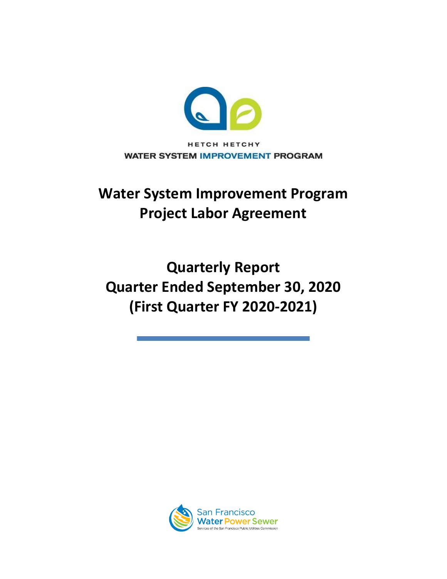

# **Water System Improvement Program Project Labor Agreement**

**Quarterly Report Quarter Ended September 30, 2020 (First Quarter FY 2020-2021)**

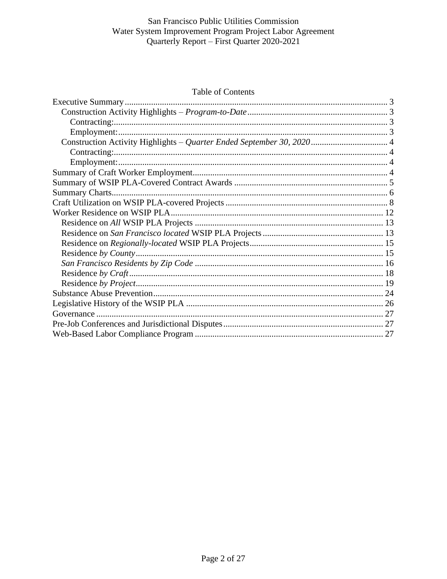#### Table of Contents

<span id="page-1-0"></span>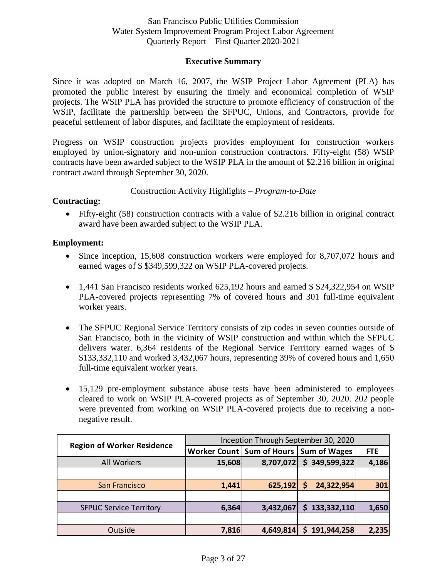## **Executive Summary**

Since it was adopted on March 16, 2007, the WSIP Project Labor Agreement (PLA) has promoted the public interest by ensuring the timely and economical completion of WSIP projects. The WSIP PLA has provided the structure to promote efficiency of construction of the WSIP, facilitate the partnership between the SFPUC, Unions, and Contractors, provide for peaceful settlement of labor disputes, and facilitate the employment of residents.

Progress on WSIP construction projects provides employment for construction workers employed by union-signatory and non-union construction contractors. Fifty-eight (58) WSIP contracts have been awarded subject to the WSIP PLA in the amount of \$2.216 billion in original contract award through September 30, 2020.

## Construction Activity Highlights – *Program-to-Date*

## <span id="page-2-1"></span><span id="page-2-0"></span>**Contracting:**

• Fifty-eight (58) construction contracts with a value of \$2.216 billion in original contract award have been awarded subject to the WSIP PLA.

## <span id="page-2-2"></span>**Employment:**

- Since inception, 15,608 construction workers were employed for 8,707,072 hours and earned wages of \$ \$349,599,322 on WSIP PLA-covered projects.
- 1.441 San Francisco residents worked 625,192 hours and earned \$\$24,322,954 on WSIP PLA-covered projects representing 7% of covered hours and 301 full-time equivalent worker years.
- The SFPUC Regional Service Territory consists of zip codes in seven counties outside of San Francisco, both in the vicinity of WSIP construction and within which the SFPUC delivers water. 6,364 residents of the Regional Service Territory earned wages of \$ \$133,332,110 and worked 3,432,067 hours, representing 39% of covered hours and 1,650 full-time equivalent worker years.
- 15,129 pre-employment substance abuse tests have been administered to employees cleared to work on WSIP PLA-covered projects as of September 30, 2020. 202 people were prevented from working on WSIP PLA-covered projects due to receiving a nonnegative result.

|                                   | Inception Through September 30, 2020 |           |                     |            |  |  |  |  |  |
|-----------------------------------|--------------------------------------|-----------|---------------------|------------|--|--|--|--|--|
| <b>Region of Worker Residence</b> | Worker Count   Sum of Hours          |           | <b>Sum of Wages</b> | <b>FTE</b> |  |  |  |  |  |
| All Workers                       | 15,608                               | 8,707,072 | 349,599,322<br>\$   | 4,186      |  |  |  |  |  |
|                                   |                                      |           |                     |            |  |  |  |  |  |
| San Francisco                     | 1,441                                | 625,192   | 24,322,954<br>S     | 301        |  |  |  |  |  |
|                                   |                                      |           |                     |            |  |  |  |  |  |
| <b>SFPUC Service Territory</b>    | 6,364                                | 3,432,067 | 133,332,110<br>S.   | 1,650      |  |  |  |  |  |
|                                   |                                      |           |                     |            |  |  |  |  |  |
| Outside                           | 7,816                                | 4,649,814 | 191,944,258<br>S    | 2,235      |  |  |  |  |  |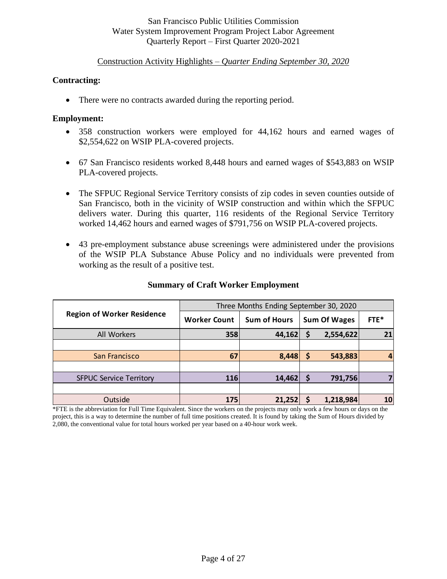## Construction Activity Highlights – *Quarter Ending September 30, 2020*

## <span id="page-3-1"></span><span id="page-3-0"></span>**Contracting:**

• There were no contracts awarded during the reporting period.

## <span id="page-3-2"></span>**Employment:**

- 358 construction workers were employed for 44,162 hours and earned wages of \$2,554,622 on WSIP PLA-covered projects.
- 67 San Francisco residents worked 8,448 hours and earned wages of \$543,883 on WSIP PLA-covered projects.
- The SFPUC Regional Service Territory consists of zip codes in seven counties outside of San Francisco, both in the vicinity of WSIP construction and within which the SFPUC delivers water. During this quarter, 116 residents of the Regional Service Territory worked 14,462 hours and earned wages of \$791,756 on WSIP PLA-covered projects.
- 43 pre-employment substance abuse screenings were administered under the provisions of the WSIP PLA Substance Abuse Policy and no individuals were prevented from working as the result of a positive test.

<span id="page-3-3"></span>

|                                   |                     | Three Months Ending September 30, 2020 |          |                     |      |
|-----------------------------------|---------------------|----------------------------------------|----------|---------------------|------|
| <b>Region of Worker Residence</b> | <b>Worker Count</b> | <b>Sum of Hours</b>                    |          | <b>Sum Of Wages</b> | FTE* |
| All Workers                       | 358                 | 44,162                                 | \$       | 2,554,622           | 21   |
|                                   |                     |                                        |          |                     |      |
| San Francisco                     | 67                  | 8,448                                  | <b>S</b> | 543,883             |      |
|                                   |                     |                                        |          |                     |      |
| <b>SFPUC Service Territory</b>    | <b>116</b>          | 14,462                                 |          | 791,756             |      |
|                                   |                     |                                        |          |                     |      |
| Outside                           | 175                 | 21,252                                 |          | 1,218,984           | 10   |

## **Summary of Craft Worker Employment**

<span id="page-3-4"></span>\*FTE is the abbreviation for Full Time Equivalent. Since the workers on the projects may only work a few hours or days on the project, this is a way to determine the number of full time positions created. It is found by taking the Sum of Hours divided by 2,080, the conventional value for total hours worked per year based on a 40-hour work week.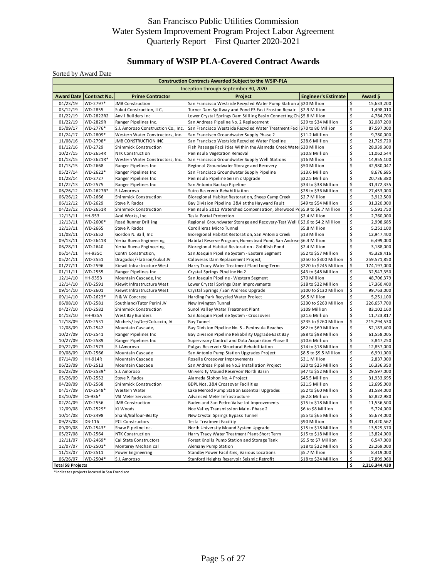## **Summary of WSIP PLA-Covered Contract Awards**

<span id="page-4-0"></span>

|                      |                           |                                        | <b>Construction Contracts Awarded Subject to the WSIP-PLA</b>                |                                        |                         |                          |
|----------------------|---------------------------|----------------------------------------|------------------------------------------------------------------------------|----------------------------------------|-------------------------|--------------------------|
|                      |                           |                                        | Inception through September 30, 2020                                         |                                        |                         |                          |
|                      | Award Date   Contract No. | <b>Prime Contractor</b>                | Project                                                                      | <b>Engineer's Estimate</b>             |                         | Award \$                 |
| 04/23/19             | WD-2797*                  | <b>JMB Construction</b>                | San Francisco Westside Recycled Water Pump Station a \$20 Million            |                                        | \$                      | 15,633,200               |
| 03/12/19             | WD-2855                   | Sukut Construction, LLC,               | Turner Dam Spillway and Pond F3 East Erosion Repair \$2.9 Million            |                                        | \$                      | 1,498,010                |
| 01/22/19             | WD-2822R2                 | Anvil Builders Inc                     | Lower Crystal Springs Dam Stilling Basin Connecting Ch. \$5.8 Million        |                                        | \$                      | 4,784,700                |
| 01/22/19             | WD-2829R                  | Ranger Pipelines Inc.                  | San Andreas Pipeline No. 2 Replacement                                       | \$29 to \$34 Million                   | \$                      | 32,087,200               |
| 05/09/17             | WD-2776*                  | S.J. Amoroso Construction Co., Inc.    | San Francisco Westside Recycled Water Treatment Facil \$70 to 80 Million     |                                        | \$                      | 87,597,000               |
| 01/24/17             | WD-2809*                  | Western Water Constructors, Inc.       | San Francisco Groundwater Supply Phase 2                                     | \$11.2 Million                         | \$                      | 9,780,000                |
| 11/08/16             | WD-2798*                  | <b>JMB CONSTRUCTION INC</b>            | San Francisco Westside Recycled Water Pipeline                               | \$28.6 Million                         | \$                      | 21,729,720               |
| 01/12/16             | WD-2729                   | Shimmick Construction                  | Fish Passage Facilities Within the Alameda Creek Water \$30 Million          |                                        | \$                      | 28,939,300               |
| 10/27/15             | <b>WD-2654R</b>           | NTK Construction                       | Peninsula Vegetation Removal                                                 | \$10.8 Million                         | \$                      | 11,062,544               |
| 01/13/15             | WD-2621R*                 | Western Water Constructors, Inc.       | San Francisco Groundwater Supply Well Stations                               | \$16 Million                           | \$                      | 14,955,100               |
| 01/13/15             | WD-2668                   | Ranger Pipelines Inc                   | Regional Groundwater Storage and Recovery                                    | \$50 Million                           | \$                      | 42,980,047               |
| 05/27/14             | WD-2622*                  | Ranger Pipelines Inc                   | San Francisco Groundwater Supply Pipeline                                    | \$13.6 Million                         | \$                      | 8,676,685                |
| 01/28/14             | WD-2727                   | Ranger Pipelines Inc                   | Peninsula Pipeline Seismic Upgrade                                           | \$22.5 Million                         | \$                      | 20,736,380               |
| 01/22/13             | WD-2575                   | Ranger Pipelines Inc                   | San Antonio Backup Pipeline                                                  | \$34 to \$38 Million                   | \$                      | 31,372,335               |
| 06/26/12             | WD-2627R*                 | S.J.Amoroso                            | Sutro Reservoir Rehabilitation                                               | \$28 to \$36 Million                   | \$                      | 27,453,000               |
| 06/26/12             | WD-2666                   | Shimmick Construction                  | Bioregional Habitat Restoration, Sheep Camp Creek                            | \$2.7 Million                          | \$                      | 3,912,500                |
| 06/12/12             | WD-2629                   | Steve P. Rados                         | Bay Division Pipeline 3&4 at the Hayward Fault                               | \$49 to \$54 Million                   | \$                      | 31,320,000               |
| 04/23/12             | WD-2651R                  | Shimmick Construction                  | Peninsula 2011 Watershed Compensation, Sherwood P(\$5.9 to \$6.7 Million     |                                        | \$                      | 5,591,750                |
| 12/13/11             | HH-953                    | Azul Works, Inc.                       | Tesla Portal Protection                                                      | \$2.4 Million                          | \$                      | 2,760,000                |
| 12/13/11             | WD-2600*                  | Road Runner Drilling                   | Regional Groundwater Storage and Recovery-Test Well I \$3.6 to \$4.2 Million |                                        | \$                      | 2,998,685                |
| 12/13/11             | WD-2665                   | Steve P. Rados                         | Cordilleras Micro Tunnel                                                     | \$5.8 Million                          | \$                      | 5,251,100                |
| 11/08/11             | WD-2652                   | Gordon N. Ball, Inc                    | Bioregional Habitat Restoration, San Antonio Creek                           | \$13 Million                           | \$                      | 12,947,400               |
| 09/13/11             | WD-2641R                  | Yerba Buena Engineering                | Habitat Reserve Program, Homestead Pond, San Andreas \$6.4 Million           |                                        | \$                      | 6,499,000                |
| 06/28/11             | WD-2640                   | Yerba Buena Engineering                | Bioregional Habitat Restoration - Goldfish Pond                              | \$2.4 Million                          | \$                      | 3,188,000                |
| 06/14/11             | <b>HH-935C</b>            | Contri Constmction,                    | San Joaquin Pipeline System - Eastern Segment                                | \$52 to \$57 Million                   | \$                      | 45,329,416               |
| 05/24/11             | WD-2551                   | Dragados/Flatiron/Sukut JV             | Calaveras Dam Replacement Project,                                           | \$250 to \$300 Million                 | \$                      | 259,571,850              |
| 01/27/11             | WD-2596                   | Kiewit Infrastructure West             | Harry Tracy Water Treatment Plant Long-Term                                  | \$220 to \$245 Million                 | \$                      | 174,197,000              |
| 01/11/11             | WD-2555                   | Ranger Pipelines Inc                   | Crystal Springs Pipeline No.2                                                | \$43 to \$48 Million                   | \$                      | 32,547,350               |
| 12/14/10             | <b>HH-935B</b>            | Mountain Cascade, Inc                  | San Joaquin Pipeline - Western Segment                                       | \$70 Million                           | \$                      | 48,706,379               |
| 12/14/10             | WD-2591                   | Kiewit Infrastructure West             | Lower Crystal Springs Dam Improvements                                       | \$18 to \$22 Million                   | \$                      | 17,360,400               |
| 09/14/10             | WD-2601                   | Kiewit Infrastructure West             | Crystal Springs / San Andreas Upgrade                                        | \$100 to \$130 Million                 | \$                      | 99,763,000               |
| 09/14/10             | WD-2623*                  | R & W Concrete                         | Harding Park Recycled Water Proiect                                          | \$6.5 Million                          | \$                      | 5,251,100                |
| 06/08/10             | WD-2581                   | Southland/Tutor Perini JV              | New Irvington Tunnel                                                         | \$230 to \$260 Million                 | \$                      | 226,657,700              |
| 04/27/10             | WD-2582                   | Shimmick Construction                  | Sunol Valley Water Treatment Plant                                           | \$109 Million                          | \$                      | 83,102,160               |
| 04/13/10             | <b>HH-935A</b>            | West Bay Builders                      | San Joaquin Pipeline System - Crossovers                                     | \$21.6 Million                         | \$                      | 11,723,817               |
| 12/18/09             | WD-2531                   | Michels/JayDee/Coluccio, JV            | <b>Bay Tunnel</b>                                                            | \$235 to \$260 Million                 | \$                      | 215,294,530              |
| 12/08/09             | WD-2542                   | Mountain Cascade,                      | Bay Division Pipeline No. 5 - Peninsula Reaches                              | \$62 to \$69 Million                   | \$                      | 52,183,400               |
| 10/27/09             | WD-2541                   | Ranger Pipelines Inc                   | Bay Division Pipeline Reliability Upgrade-East Bay                           | \$88 to \$98 Million                   | \$                      | 61,558,005               |
| 10/27/09             | WD-2589                   | Ranger Pipelines Inc                   | Supervisory Control and Data Acquisition Phase II                            | \$10.6 Million                         | \$                      | 3,847,250                |
| 09/22/09             | WD-2573                   | S.J.Amoroso                            | Pulgas Reservoir Structural Rehabilitation                                   | \$14 to \$18 Million                   | \$                      | 12,857,000               |
| 09/08/09             | WD-2566                   | Mountain Cascade                       | San Antonio Pump Station Upgrades Project                                    | \$8.5 to \$9.5 Million                 | \$                      | 6,991,000                |
| 07/14/09             | <b>HH-914R</b>            | Mountain Cascade                       | Roselle Crossover Improvements                                               | \$3.1 Million                          | \$                      | 2,837,000                |
| 06/23/09             | WD-2513<br>WD-2539*       | Mountain Cascade<br>S.J. Amoroso       | San Andreas Pipeline No.3 Installation Project                               | \$20 to \$25 Million                   | \$<br>\$                | 16,336,350               |
| 06/23/09<br>05/26/09 | WD-2552                   | Steve P. Rados                         | University Mound Reservoir North Basin<br>Alameda Siphon No. 4 Project       | \$47 to \$52 Million<br>\$45.5 Million | \$                      | 29,597,000<br>31,933,695 |
|                      |                           |                                        |                                                                              |                                        |                         |                          |
| 04/28/09<br>04/17/09 | WD-2568<br>WD-2548*       | Shimmick Construction<br>Western Water | BDPL Nos. 3&4 Crossover Facilities                                           | \$21.5 Million<br>\$52 to \$60 Million | \$<br>\$                | 12,695,000<br>31,584,000 |
| 03/10/09             | CS-936*                   | VSI Meter Services                     | Lake Merced Pump Station Essential Upgrades<br>Advanced Meter Infrastructure | \$62.8 Million                         | \$                      | 62,822,980               |
| 02/24/09             | WD-2556                   | <b>JMB Construction</b>                | Baden and San Pedro Valve Lot Improvements                                   | \$15 to \$18 Million                   | \$                      | 11,536,500               |
| 12/09/08             | WD-2529*                  | KJ Woods                               | Noe Valley Transmission Main-Phase 2                                         | \$6 to \$8 Million                     | \$                      | 5,724,000                |
| 10/14/08             | WD-2498                   | Shank/Balfour-Beatty                   | New Crystal Springs Bypass Tunnel                                            | \$55 to \$65 Million                   | \$                      | 55,674,000               |
| 09/23/08             | DB-116                    | <b>PCL Constructors</b>                | Tesla Treatment Facility                                                     | \$90 Million                           | \$                      | 81,420,562               |
| 09/09/08             | WD-2543*                  | Shaw Pipeline Inc.                     | North University Mound System Upgrade                                        | \$15 to \$18 Million                   | \$                      | 13,529,370               |
| 05/27/08             | WD-2564                   | NTK Construction                       | Harry Tracy Water Treatment Plant-Short Term                                 | \$15 to \$18 Million                   | \$                      | 13,824,000               |
| 12/11/07             | WD-2469*                  | Cal State Constructors                 | Forest Knolls Pump Station and Storage Tank                                  | \$5.5 to \$7 Million                   | \$                      | 6,547,000                |
| 12/07/07             | WD-2501*                  | Monterey Mechanical                    | Alemany Pump Station                                                         | \$18 to \$22 Million                   | \$                      | 23,269,000               |
| 11/13/07             | WD-2511                   | Power Engineering                      | Standby Power Facilities, Various Locations                                  | \$5.7 Million                          | \$                      | 8,419,000                |
| 06/26/07             | WD-2504*                  | S.J. Amoroso                           | Stanford Heights Reservoir Seismic Retrofit                                  | \$18 to \$24 Million                   | $\overline{\mathsf{S}}$ | 17,899,960               |
|                      |                           |                                        |                                                                              |                                        |                         |                          |

\* indicates projects located in San Francisco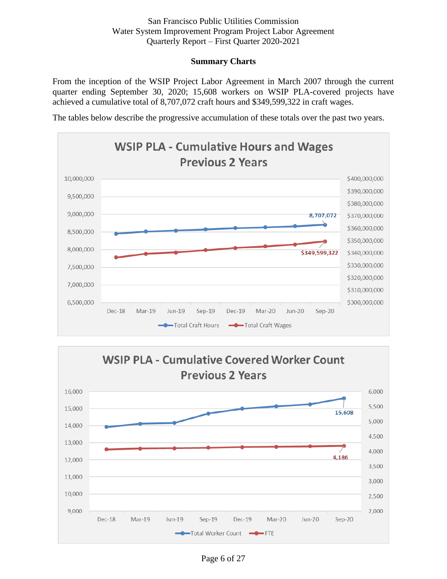## **Summary Charts**

From the inception of the WSIP Project Labor Agreement in March 2007 through the current quarter ending September 30, 2020; 15,608 workers on WSIP PLA-covered projects have achieved a cumulative total of 8,707,072 craft hours and \$349,599,322 in craft wages.

The tables below describe the progressive accumulation of these totals over the past two years.





Page 6 of 27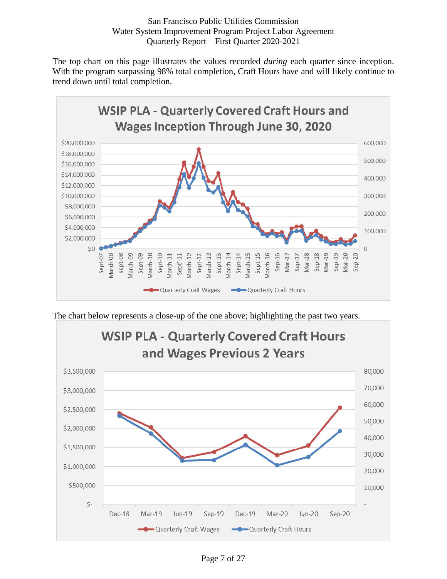<span id="page-6-0"></span>The top chart on this page illustrates the values recorded *during* each quarter since inception. With the program surpassing 98% total completion, Craft Hours have and will likely continue to trend down until total completion.



The chart below represents a close-up of the one above; highlighting the past two years.



Page 7 of 27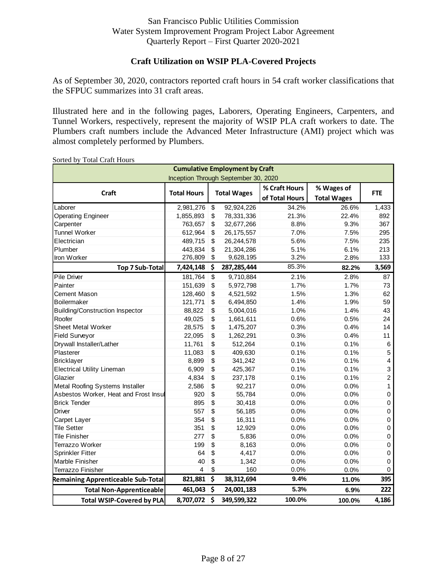## **Craft Utilization on WSIP PLA-Covered Projects**

As of September 30, 2020, contractors reported craft hours in 54 craft worker classifications that the SFPUC summarizes into 31 craft areas.

Illustrated here and in the following pages, Laborers, Operating Engineers, Carpenters, and Tunnel Workers, respectively, represent the majority of WSIP PLA craft workers to date. The Plumbers craft numbers include the Advanced Meter Infrastructure (AMI) project which was almost completely performed by Plumbers.

|                                           |                    |                          | <b>Cumulative Employment by Craft</b> |                |                    |                         |
|-------------------------------------------|--------------------|--------------------------|---------------------------------------|----------------|--------------------|-------------------------|
|                                           |                    |                          | Inception Through September 30, 2020  |                |                    |                         |
|                                           |                    |                          |                                       | % Craft Hours  | % Wages of         |                         |
| Craft                                     | <b>Total Hours</b> |                          | <b>Total Wages</b>                    | of Total Hours | <b>Total Wages</b> | <b>FTE</b>              |
| Laborer                                   | 2,981,276          | \$                       | 92,924,226                            | 34.2%          | 26.6%              | 1,433                   |
| <b>Operating Engineer</b>                 | 1,855,893          | \$                       | 78,331,336                            | 21.3%          | 22.4%              | 892                     |
| Carpenter                                 | 763,657            | \$                       | 32,677,266                            | 8.8%           | 9.3%               | 367                     |
| <b>Tunnel Worker</b>                      | 612,964            | \$                       | 26, 175, 557                          | 7.0%           | 7.5%               | 295                     |
| Electrician                               | 489,715            | \$                       | 26,244,578                            | 5.6%           | 7.5%               | 235                     |
| Plumber                                   | 443,834            | \$                       | 21,304,286                            | 5.1%           | 6.1%               | 213                     |
| Iron Worker                               | 276,809            | \$                       | 9,628,195                             | 3.2%           | 2.8%               | 133                     |
| <b>Top 7 Sub-Total</b>                    | 7,424,148          | \$                       | 287, 285, 444                         | 85.3%          | 82.2%              | 3,569                   |
| Pile Driver                               | 181,764            | $\overline{\mathcal{S}}$ | 9,710,884                             | 2.1%           | 2.8%               | 87                      |
| Painter                                   | 151,639            | \$                       | 5,972,798                             | 1.7%           | 1.7%               | 73                      |
| <b>Cement Mason</b>                       | 128,460            | \$                       | 4,521,592                             | 1.5%           | 1.3%               | 62                      |
| <b>Boilermaker</b>                        | 121,771            | \$                       | 6,494,850                             | 1.4%           | 1.9%               | 59                      |
| <b>Building/Construction Inspector</b>    | 88,822             | \$                       | 5,004,016                             | 1.0%           | 1.4%               | 43                      |
| Roofer                                    | 49,025             | \$                       | 1,661,611                             | 0.6%           | 0.5%               | 24                      |
| Sheet Metal Worker                        | 28,575             | \$                       | 1,475,207                             | 0.3%           | 0.4%               | 14                      |
| Field Surveyor                            | 22,095             | \$                       | 1,262,291                             | 0.3%           | 0.4%               | 11                      |
| Drywall Installer/Lather                  | 11,761             | \$                       | 512,264                               | 0.1%           | 0.1%               | $\,6$                   |
| Plasterer                                 | 11,083             | \$                       | 409,630                               | 0.1%           | 0.1%               | $\mathbf 5$             |
| <b>Bricklayer</b>                         | 8,899              | \$                       | 341,242                               | 0.1%           | 0.1%               | $\overline{\mathbf{4}}$ |
| <b>Electrical Utility Lineman</b>         | 6,909              | \$                       | 425,367                               | 0.1%           | 0.1%               | 3                       |
| Glazier                                   | 4,834              | \$                       | 237,178                               | 0.1%           | 0.1%               | $\boldsymbol{2}$        |
| Metal Roofing Systems Installer           | 2,586              | \$                       | 92,217                                | 0.0%           | 0.0%               | 1                       |
| Asbestos Worker, Heat and Frost Insul     | 920                | \$                       | 55,784                                | 0.0%           | 0.0%               | 0                       |
| <b>Brick Tender</b>                       | 895                | \$                       | 30,418                                | 0.0%           | 0.0%               | 0                       |
| <b>Driver</b>                             | 557                | \$                       | 56,185                                | 0.0%           | 0.0%               | 0                       |
| Carpet Layer                              | 354                | \$                       | 16,311                                | 0.0%           | 0.0%               | $\pmb{0}$               |
| <b>Tile Setter</b>                        | 351                | \$                       | 12,929                                | 0.0%           | 0.0%               | $\mathbf 0$             |
| <b>Tile Finisher</b>                      | 277                | \$                       | 5,836                                 | 0.0%           | 0.0%               | $\mathbf 0$             |
| Terrazzo Worker                           | 199                | \$                       | 8,163                                 | 0.0%           | 0.0%               | $\pmb{0}$               |
| <b>Sprinkler Fitter</b>                   | 64                 | \$                       | 4,417                                 | 0.0%           | 0.0%               | 0                       |
| Marble Finisher                           | 40                 | \$                       | 1,342                                 | 0.0%           | 0.0%               | 0                       |
| Terrazzo Finisher                         | 4                  | \$                       | 160                                   | 0.0%           | 0.0%               | 0                       |
| <b>Remaining Apprenticeable Sub-Total</b> | 821,881            | \$                       | 38,312,694                            | 9.4%           | 11.0%              | 395                     |
| <b>Total Non-Apprenticeable</b>           | 461,043            | \$                       | 24,001,183                            | 5.3%           | 6.9%               | 222                     |
| <b>Total WSIP-Covered by PLA</b>          | 8,707,072          | $\ddot{\bm{\zeta}}$      | 349,599,322                           | 100.0%         | 100.0%             | 4,186                   |

Sorted by Total Craft Hours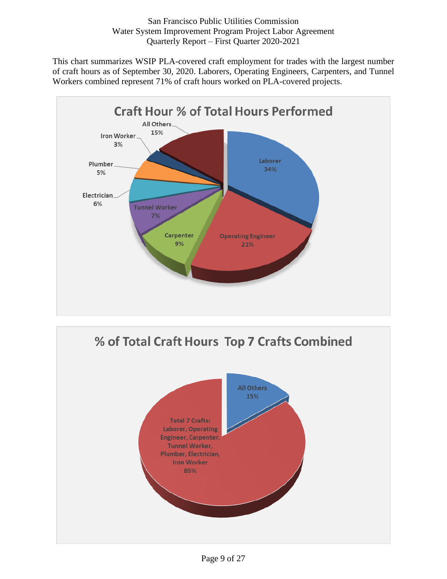This chart summarizes WSIP PLA-covered craft employment for trades with the largest number of craft hours as of September 30, 2020. Laborers, Operating Engineers, Carpenters, and Tunnel Workers combined represent 71% of craft hours worked on PLA-covered projects.



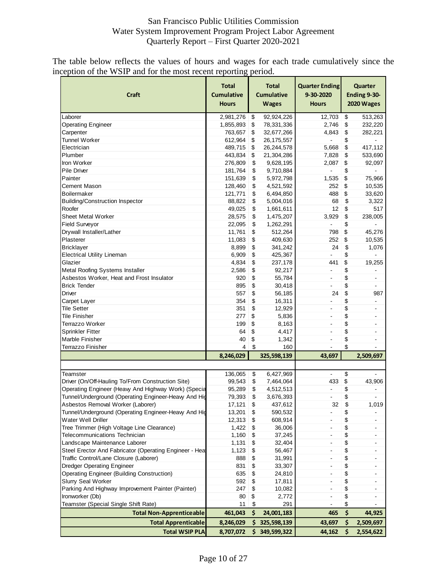The table below reflects the values of hours and wages for each trade cumulatively since the inception of the WSIP and for the most recent reporting period.

| \$<br>Laborer<br>2,981,276<br>\$<br>12,703<br>92,924,226<br>\$<br>1,855,893<br>\$<br>78,331,336<br>2,746<br>232,220<br><b>Operating Engineer</b><br>\$<br>\$<br>Carpenter<br>763,657<br>32,677,266<br>4,843<br>282,221<br><b>Tunnel Worker</b><br>\$<br>612,964<br>\$<br>26, 175, 557<br>$\blacksquare$<br>\$<br>\$<br>Electrician<br>489,715<br>26,244,578<br>5,668<br>417,112<br>\$<br>\$<br>Plumber<br>443,834<br>21,304,286<br>7,828<br>533,690<br>\$<br>\$<br>Iron Worker<br>276,809<br>9,628,195<br>2,087<br>\$<br>Pile Driver<br>181,764<br>\$<br>9,710,884<br>$\overline{\phantom{a}}$<br>Painter<br>151,639<br>\$<br>5,972,798<br>1,535<br>\$<br>\$<br>Cement Mason<br>128,460<br>4,521,592<br>252<br>\$<br>\$<br>\$<br><b>Boilermaker</b><br>121,771<br>6,494,850<br>488<br>5,004,016<br>\$<br>88,822<br>\$<br>68<br><b>Building/Construction Inspector</b><br>\$<br>\$<br>Roofer<br>49,025<br>1,661,611<br>12<br>\$<br>\$<br><b>Sheet Metal Worker</b><br>28,575<br>1,475,207<br>3,929<br>238,005<br>\$<br>\$<br>Field Surveyor<br>22,095<br>1,262,291<br>\$<br>\$<br>Drywall Installer/Lather<br>11,761<br>512,264<br>798<br>45,276<br>\$<br>Plasterer<br>11,083<br>409,630<br>252<br>\$<br>10,535<br>\$<br>\$<br><b>Bricklayer</b><br>8,899<br>341,242<br>24<br>\$<br>\$<br>6,909<br>425,367<br><b>Electrical Utility Lineman</b><br>L, | Ending 9-30-<br>2020 Wages |
|------------------------------------------------------------------------------------------------------------------------------------------------------------------------------------------------------------------------------------------------------------------------------------------------------------------------------------------------------------------------------------------------------------------------------------------------------------------------------------------------------------------------------------------------------------------------------------------------------------------------------------------------------------------------------------------------------------------------------------------------------------------------------------------------------------------------------------------------------------------------------------------------------------------------------------------------------------------------------------------------------------------------------------------------------------------------------------------------------------------------------------------------------------------------------------------------------------------------------------------------------------------------------------------------------------------------------------------------------|----------------------------|
|                                                                                                                                                                                                                                                                                                                                                                                                                                                                                                                                                                                                                                                                                                                                                                                                                                                                                                                                                                                                                                                                                                                                                                                                                                                                                                                                                      | 513,263                    |
|                                                                                                                                                                                                                                                                                                                                                                                                                                                                                                                                                                                                                                                                                                                                                                                                                                                                                                                                                                                                                                                                                                                                                                                                                                                                                                                                                      |                            |
|                                                                                                                                                                                                                                                                                                                                                                                                                                                                                                                                                                                                                                                                                                                                                                                                                                                                                                                                                                                                                                                                                                                                                                                                                                                                                                                                                      |                            |
|                                                                                                                                                                                                                                                                                                                                                                                                                                                                                                                                                                                                                                                                                                                                                                                                                                                                                                                                                                                                                                                                                                                                                                                                                                                                                                                                                      |                            |
|                                                                                                                                                                                                                                                                                                                                                                                                                                                                                                                                                                                                                                                                                                                                                                                                                                                                                                                                                                                                                                                                                                                                                                                                                                                                                                                                                      |                            |
|                                                                                                                                                                                                                                                                                                                                                                                                                                                                                                                                                                                                                                                                                                                                                                                                                                                                                                                                                                                                                                                                                                                                                                                                                                                                                                                                                      |                            |
|                                                                                                                                                                                                                                                                                                                                                                                                                                                                                                                                                                                                                                                                                                                                                                                                                                                                                                                                                                                                                                                                                                                                                                                                                                                                                                                                                      | 92,097                     |
|                                                                                                                                                                                                                                                                                                                                                                                                                                                                                                                                                                                                                                                                                                                                                                                                                                                                                                                                                                                                                                                                                                                                                                                                                                                                                                                                                      |                            |
|                                                                                                                                                                                                                                                                                                                                                                                                                                                                                                                                                                                                                                                                                                                                                                                                                                                                                                                                                                                                                                                                                                                                                                                                                                                                                                                                                      | 75,966                     |
|                                                                                                                                                                                                                                                                                                                                                                                                                                                                                                                                                                                                                                                                                                                                                                                                                                                                                                                                                                                                                                                                                                                                                                                                                                                                                                                                                      | 10,535                     |
|                                                                                                                                                                                                                                                                                                                                                                                                                                                                                                                                                                                                                                                                                                                                                                                                                                                                                                                                                                                                                                                                                                                                                                                                                                                                                                                                                      | 33,620                     |
|                                                                                                                                                                                                                                                                                                                                                                                                                                                                                                                                                                                                                                                                                                                                                                                                                                                                                                                                                                                                                                                                                                                                                                                                                                                                                                                                                      | 3,322                      |
|                                                                                                                                                                                                                                                                                                                                                                                                                                                                                                                                                                                                                                                                                                                                                                                                                                                                                                                                                                                                                                                                                                                                                                                                                                                                                                                                                      | 517                        |
|                                                                                                                                                                                                                                                                                                                                                                                                                                                                                                                                                                                                                                                                                                                                                                                                                                                                                                                                                                                                                                                                                                                                                                                                                                                                                                                                                      |                            |
|                                                                                                                                                                                                                                                                                                                                                                                                                                                                                                                                                                                                                                                                                                                                                                                                                                                                                                                                                                                                                                                                                                                                                                                                                                                                                                                                                      |                            |
|                                                                                                                                                                                                                                                                                                                                                                                                                                                                                                                                                                                                                                                                                                                                                                                                                                                                                                                                                                                                                                                                                                                                                                                                                                                                                                                                                      |                            |
|                                                                                                                                                                                                                                                                                                                                                                                                                                                                                                                                                                                                                                                                                                                                                                                                                                                                                                                                                                                                                                                                                                                                                                                                                                                                                                                                                      |                            |
|                                                                                                                                                                                                                                                                                                                                                                                                                                                                                                                                                                                                                                                                                                                                                                                                                                                                                                                                                                                                                                                                                                                                                                                                                                                                                                                                                      | 1,076                      |
|                                                                                                                                                                                                                                                                                                                                                                                                                                                                                                                                                                                                                                                                                                                                                                                                                                                                                                                                                                                                                                                                                                                                                                                                                                                                                                                                                      |                            |
| \$<br>Glazier<br>4,834<br>\$<br>237,178<br>441                                                                                                                                                                                                                                                                                                                                                                                                                                                                                                                                                                                                                                                                                                                                                                                                                                                                                                                                                                                                                                                                                                                                                                                                                                                                                                       | 19,255                     |
| \$<br>Metal Roofing Systems Installer<br>2,586<br>\$<br>92,217<br>$\blacksquare$                                                                                                                                                                                                                                                                                                                                                                                                                                                                                                                                                                                                                                                                                                                                                                                                                                                                                                                                                                                                                                                                                                                                                                                                                                                                     | -                          |
| \$<br>\$<br>Asbestos Worker, Heat and Frost Insulator<br>920<br>55,784<br>$\blacksquare$                                                                                                                                                                                                                                                                                                                                                                                                                                                                                                                                                                                                                                                                                                                                                                                                                                                                                                                                                                                                                                                                                                                                                                                                                                                             | $\blacksquare$             |
| \$<br>\$<br><b>Brick Tender</b><br>895<br>30,418<br>$\blacksquare$                                                                                                                                                                                                                                                                                                                                                                                                                                                                                                                                                                                                                                                                                                                                                                                                                                                                                                                                                                                                                                                                                                                                                                                                                                                                                   |                            |
| \$<br>Driver<br>557<br>\$<br>56,185<br>24                                                                                                                                                                                                                                                                                                                                                                                                                                                                                                                                                                                                                                                                                                                                                                                                                                                                                                                                                                                                                                                                                                                                                                                                                                                                                                            | 987                        |
| 354<br>16,311<br>$\overline{a}$                                                                                                                                                                                                                                                                                                                                                                                                                                                                                                                                                                                                                                                                                                                                                                                                                                                                                                                                                                                                                                                                                                                                                                                                                                                                                                                      |                            |
| \$<br>Carpet Layer<br>\$<br><b>Tile Setter</b>                                                                                                                                                                                                                                                                                                                                                                                                                                                                                                                                                                                                                                                                                                                                                                                                                                                                                                                                                                                                                                                                                                                                                                                                                                                                                                       | $\blacksquare$             |
| \$<br>\$<br>351<br>12,929                                                                                                                                                                                                                                                                                                                                                                                                                                                                                                                                                                                                                                                                                                                                                                                                                                                                                                                                                                                                                                                                                                                                                                                                                                                                                                                            | ۰                          |
| \$<br>\$<br>5,836<br>Tile Finisher<br>277<br>$\overline{\phantom{a}}$                                                                                                                                                                                                                                                                                                                                                                                                                                                                                                                                                                                                                                                                                                                                                                                                                                                                                                                                                                                                                                                                                                                                                                                                                                                                                | $\blacksquare$             |
| \$<br>199<br>Terrazzo Worker<br>\$<br>8,163<br>$\blacksquare$                                                                                                                                                                                                                                                                                                                                                                                                                                                                                                                                                                                                                                                                                                                                                                                                                                                                                                                                                                                                                                                                                                                                                                                                                                                                                        | $\blacksquare$             |
| \$<br>\$<br>Sprinkler Fitter<br>64<br>4,417<br>$\overline{a}$                                                                                                                                                                                                                                                                                                                                                                                                                                                                                                                                                                                                                                                                                                                                                                                                                                                                                                                                                                                                                                                                                                                                                                                                                                                                                        | ۰                          |
| \$<br>Marble Finisher<br>40<br>\$<br>1,342<br>$\blacksquare$                                                                                                                                                                                                                                                                                                                                                                                                                                                                                                                                                                                                                                                                                                                                                                                                                                                                                                                                                                                                                                                                                                                                                                                                                                                                                         |                            |
| \$<br>Terrazzo Finisher<br>4<br>\$<br>160                                                                                                                                                                                                                                                                                                                                                                                                                                                                                                                                                                                                                                                                                                                                                                                                                                                                                                                                                                                                                                                                                                                                                                                                                                                                                                            |                            |
| 8,246,029<br>325,598,139<br>43,697<br>2,509,697                                                                                                                                                                                                                                                                                                                                                                                                                                                                                                                                                                                                                                                                                                                                                                                                                                                                                                                                                                                                                                                                                                                                                                                                                                                                                                      |                            |
| \$<br>136,065<br>\$<br>6,427,969<br>$\overline{\phantom{a}}$<br>Teamster                                                                                                                                                                                                                                                                                                                                                                                                                                                                                                                                                                                                                                                                                                                                                                                                                                                                                                                                                                                                                                                                                                                                                                                                                                                                             |                            |
| \$<br>Driver (On/Off-Hauling To/From Construction Site)<br>99,543<br>\$<br>7,464,064<br>433                                                                                                                                                                                                                                                                                                                                                                                                                                                                                                                                                                                                                                                                                                                                                                                                                                                                                                                                                                                                                                                                                                                                                                                                                                                          | 43,906                     |
| Operating Engineer (Heavy And Highway Work) (Specia<br>95,289<br>\$<br>4,512,513<br>\$<br>$\overline{\phantom{a}}$                                                                                                                                                                                                                                                                                                                                                                                                                                                                                                                                                                                                                                                                                                                                                                                                                                                                                                                                                                                                                                                                                                                                                                                                                                   |                            |
| Tunnel/Underground (Operating Engineer-Heavy And Hig<br>\$<br>\$<br>79,393<br>3,676,393<br>$\blacksquare$                                                                                                                                                                                                                                                                                                                                                                                                                                                                                                                                                                                                                                                                                                                                                                                                                                                                                                                                                                                                                                                                                                                                                                                                                                            |                            |
| Asbestos Removal Worker (Laborer)<br>437,612<br>\$<br>17,121<br>\$<br>32                                                                                                                                                                                                                                                                                                                                                                                                                                                                                                                                                                                                                                                                                                                                                                                                                                                                                                                                                                                                                                                                                                                                                                                                                                                                             | 1,019                      |
| Tunnel/Underground (Operating Engineer-Heavy And Hig<br>590,532<br>\$<br>13,201<br>\$                                                                                                                                                                                                                                                                                                                                                                                                                                                                                                                                                                                                                                                                                                                                                                                                                                                                                                                                                                                                                                                                                                                                                                                                                                                                |                            |
| Water Well Driller<br>12,313<br>\$<br>608,914<br>\$<br>$\overline{\phantom{a}}$                                                                                                                                                                                                                                                                                                                                                                                                                                                                                                                                                                                                                                                                                                                                                                                                                                                                                                                                                                                                                                                                                                                                                                                                                                                                      | ٠                          |
| \$<br>Tree Trimmer (High Voltage Line Clearance)<br>1,422<br>\$<br>36,006                                                                                                                                                                                                                                                                                                                                                                                                                                                                                                                                                                                                                                                                                                                                                                                                                                                                                                                                                                                                                                                                                                                                                                                                                                                                            |                            |
| \$<br>Telecommunications Technician<br>1,160<br>\$<br>37,245                                                                                                                                                                                                                                                                                                                                                                                                                                                                                                                                                                                                                                                                                                                                                                                                                                                                                                                                                                                                                                                                                                                                                                                                                                                                                         |                            |
| \$<br>Landscape Maintenance Laborer<br>1,131<br>\$<br>32,404<br>$\blacksquare$                                                                                                                                                                                                                                                                                                                                                                                                                                                                                                                                                                                                                                                                                                                                                                                                                                                                                                                                                                                                                                                                                                                                                                                                                                                                       | ٠                          |
| \$<br>Steel Erector And Fabricator (Operating Engineer - Heal<br>1,123<br>\$<br>56,467<br>$\blacksquare$                                                                                                                                                                                                                                                                                                                                                                                                                                                                                                                                                                                                                                                                                                                                                                                                                                                                                                                                                                                                                                                                                                                                                                                                                                             | $\blacksquare$             |
| \$<br>Traffic Control/Lane Closure (Laborer)<br>888<br>\$<br>31,991<br>$\overline{a}$                                                                                                                                                                                                                                                                                                                                                                                                                                                                                                                                                                                                                                                                                                                                                                                                                                                                                                                                                                                                                                                                                                                                                                                                                                                                |                            |
| \$<br>\$<br><b>Dredger Operating Engineer</b><br>831<br>33,307<br>$\blacksquare$                                                                                                                                                                                                                                                                                                                                                                                                                                                                                                                                                                                                                                                                                                                                                                                                                                                                                                                                                                                                                                                                                                                                                                                                                                                                     |                            |
| <b>Operating Engineer (Building Construction)</b><br>\$<br>635<br>\$<br>24,810                                                                                                                                                                                                                                                                                                                                                                                                                                                                                                                                                                                                                                                                                                                                                                                                                                                                                                                                                                                                                                                                                                                                                                                                                                                                       |                            |
| \$<br><b>Slurry Seal Worker</b><br>592<br>\$<br>17,811<br>$\blacksquare$                                                                                                                                                                                                                                                                                                                                                                                                                                                                                                                                                                                                                                                                                                                                                                                                                                                                                                                                                                                                                                                                                                                                                                                                                                                                             | ۰                          |
| Parking And Highway Improvement Painter (Painter)<br>247<br>\$<br>\$<br>10,082                                                                                                                                                                                                                                                                                                                                                                                                                                                                                                                                                                                                                                                                                                                                                                                                                                                                                                                                                                                                                                                                                                                                                                                                                                                                       |                            |
| \$<br>Ironworker (Db)<br>\$<br>80<br>2,772                                                                                                                                                                                                                                                                                                                                                                                                                                                                                                                                                                                                                                                                                                                                                                                                                                                                                                                                                                                                                                                                                                                                                                                                                                                                                                           |                            |
| Teamster (Special Single Shift Rate)<br>11<br>\$<br>\$<br>291                                                                                                                                                                                                                                                                                                                                                                                                                                                                                                                                                                                                                                                                                                                                                                                                                                                                                                                                                                                                                                                                                                                                                                                                                                                                                        |                            |
| \$<br>\$<br><b>Total Non-Apprenticeable</b><br>461,043<br>24,001,183<br>465                                                                                                                                                                                                                                                                                                                                                                                                                                                                                                                                                                                                                                                                                                                                                                                                                                                                                                                                                                                                                                                                                                                                                                                                                                                                          | 44,925                     |
|                                                                                                                                                                                                                                                                                                                                                                                                                                                                                                                                                                                                                                                                                                                                                                                                                                                                                                                                                                                                                                                                                                                                                                                                                                                                                                                                                      |                            |
| <b>Total Apprenticable</b><br>8,246,029<br>\$325,598,139<br>\$<br>2,509,697<br>43,697<br><b>Total WSIP PLA</b><br>\$349,599,322<br>8,707,072<br>44,162<br>\$<br>2,554,622                                                                                                                                                                                                                                                                                                                                                                                                                                                                                                                                                                                                                                                                                                                                                                                                                                                                                                                                                                                                                                                                                                                                                                            |                            |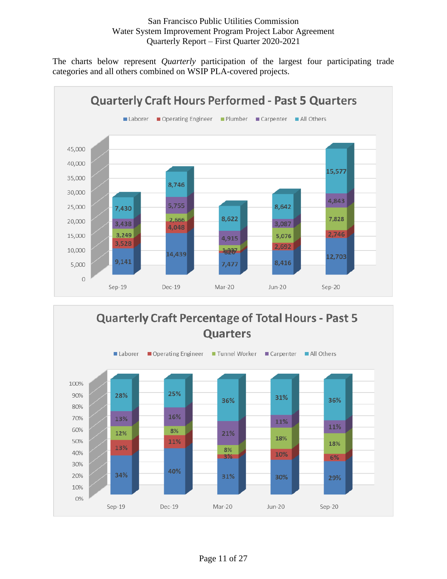The charts below represent *Quarterly* participation of the largest four participating trade categories and all others combined on WSIP PLA-covered projects.



<span id="page-10-0"></span>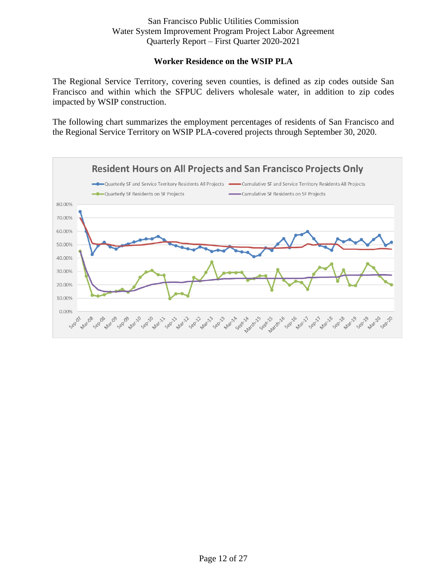## **Worker Residence on the WSIP PLA**

The Regional Service Territory, covering seven counties, is defined as zip codes outside San Francisco and within which the SFPUC delivers wholesale water, in addition to zip codes impacted by WSIP construction.

The following chart summarizes the employment percentages of residents of San Francisco and the Regional Service Territory on WSIP PLA-covered projects through September 30, 2020.

<span id="page-11-0"></span>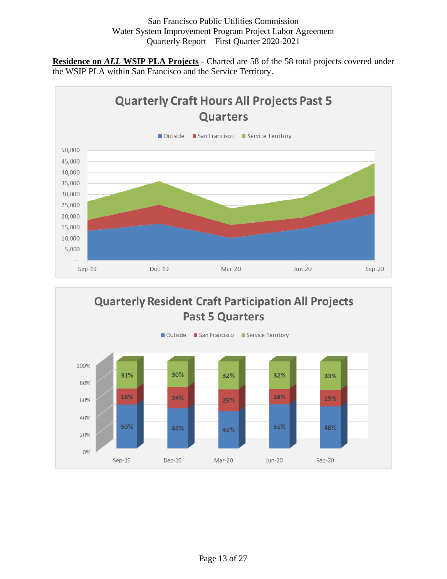**Residence on** *ALL* **WSIP PLA Projects** - Charted are 58 of the 58 total projects covered under the WSIP PLA within San Francisco and the Service Territory.



<span id="page-12-0"></span>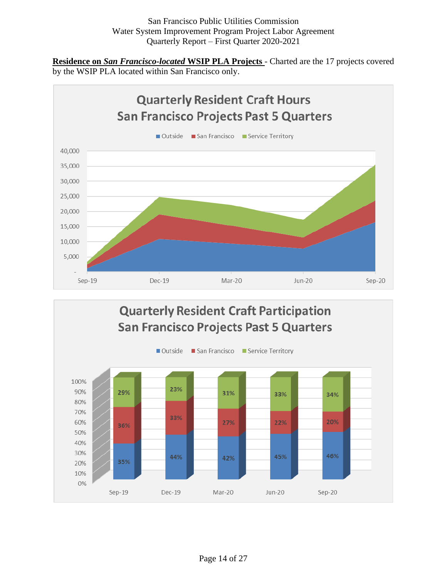**Residence on** *San Francisco-located* **WSIP PLA Projects** - Charted are the 17 projects covered by the WSIP PLA located within San Francisco only.

<span id="page-13-0"></span>

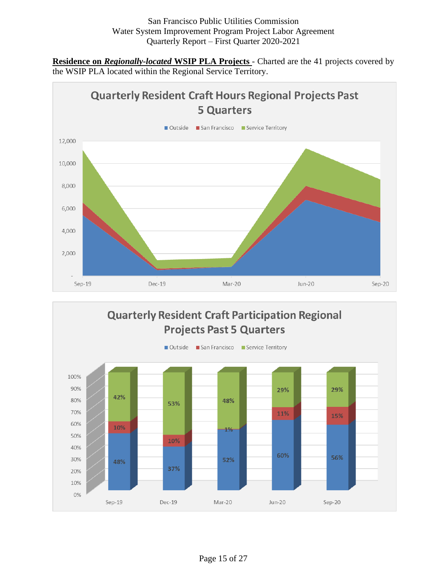**Residence on** *Regionally-located* **WSIP PLA Projects** - Charted are the 41 projects covered by the WSIP PLA located within the Regional Service Territory.



<span id="page-14-0"></span>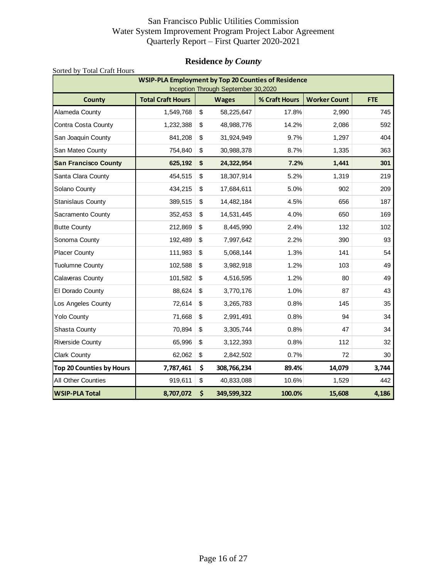## <span id="page-15-0"></span>**Residence** *by County*

| Sorted by Total Craft Hours     |                                                            |                         |                                     |               |                     |            |  |  |  |  |
|---------------------------------|------------------------------------------------------------|-------------------------|-------------------------------------|---------------|---------------------|------------|--|--|--|--|
|                                 | <b>WSIP-PLA Employment by Top 20 Counties of Residence</b> |                         | Inception Through September 30,2020 |               |                     |            |  |  |  |  |
| <b>County</b>                   | <b>Total Craft Hours</b>                                   |                         | <b>Wages</b>                        | % Craft Hours | <b>Worker Count</b> | <b>FTE</b> |  |  |  |  |
| Alameda County                  | 1,549,768                                                  | \$                      | 58,225,647                          | 17.8%         | 2,990               | 745        |  |  |  |  |
| Contra Costa County             | 1,232,388                                                  | \$                      | 48,988,776                          | 14.2%         | 2,086               | 592        |  |  |  |  |
| San Joaquin County              | 841,208                                                    | \$                      | 31,924,949                          | 9.7%          | 1,297               | 404        |  |  |  |  |
| San Mateo County                | 754,840                                                    | \$                      | 30,988,378                          | 8.7%          | 1,335               | 363        |  |  |  |  |
| <b>San Francisco County</b>     | 625,192                                                    | \$                      | 24,322,954                          | 7.2%          | 1,441               | 301        |  |  |  |  |
| Santa Clara County              | 454,515                                                    | \$                      | 18,307,914                          | 5.2%          | 1,319               | 219        |  |  |  |  |
| Solano County                   | 434,215                                                    | \$                      | 17,684,611                          | 5.0%          | 902                 | 209        |  |  |  |  |
| Stanislaus County               | 389,515                                                    | \$                      | 14,482,184                          | 4.5%          | 656                 | 187        |  |  |  |  |
| Sacramento County               | 352,453                                                    | \$                      | 14,531,445                          | 4.0%          | 650                 | 169        |  |  |  |  |
| <b>Butte County</b>             | 212,869                                                    | $\sqrt[6]{\frac{1}{2}}$ | 8,445,990                           | 2.4%          | 132                 | 102        |  |  |  |  |
| Sonoma County                   | 192,489                                                    | \$                      | 7,997,642                           | 2.2%          | 390                 | 93         |  |  |  |  |
| <b>Placer County</b>            | 111,983                                                    | \$                      | 5,068,144                           | 1.3%          | 141                 | 54         |  |  |  |  |
| <b>Tuolumne County</b>          | 102,588                                                    | \$                      | 3,982,918                           | 1.2%          | 103                 | 49         |  |  |  |  |
| Calaveras County                | 101,582                                                    | \$                      | 4,516,595                           | 1.2%          | 80                  | 49         |  |  |  |  |
| El Dorado County                | 88,624                                                     | \$                      | 3,770,176                           | 1.0%          | 87                  | 43         |  |  |  |  |
| Los Angeles County              | 72,614                                                     | \$                      | 3,265,783                           | 0.8%          | 145                 | 35         |  |  |  |  |
| <b>Yolo County</b>              | 71,668                                                     | \$                      | 2,991,491                           | 0.8%          | 94                  | 34         |  |  |  |  |
| Shasta County                   | 70,894                                                     | \$                      | 3,305,744                           | 0.8%          | 47                  | 34         |  |  |  |  |
| <b>Riverside County</b>         | 65,996                                                     | \$                      | 3,122,393                           | 0.8%          | 112                 | 32         |  |  |  |  |
| <b>Clark County</b>             | 62,062                                                     | \$                      | 2,842,502                           | 0.7%          | 72                  | 30         |  |  |  |  |
| <b>Top 20 Counties by Hours</b> | 7,787,461                                                  | \$                      | 308,766,234                         | 89.4%         | 14,079              | 3,744      |  |  |  |  |
| All Other Counties              | 919,611                                                    | \$                      | 40,833,088                          | 10.6%         | 1,529               | 442        |  |  |  |  |
| <b>WSIP-PLA Total</b>           | 8,707,072                                                  | \$                      | 349,599,322                         | 100.0%        | 15,608              | 4,186      |  |  |  |  |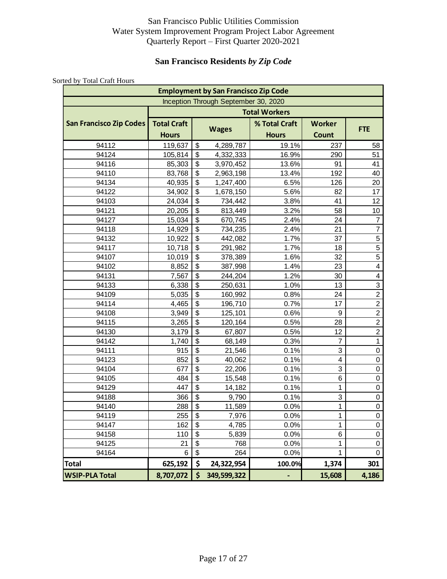## **San Francisco Residents** *by Zip Code*

<span id="page-16-0"></span>

|                                |                    |                           | <b>Employment by San Francisco Zip Code</b> |                      |                         |                  |  |  |
|--------------------------------|--------------------|---------------------------|---------------------------------------------|----------------------|-------------------------|------------------|--|--|
|                                |                    |                           | Inception Through September 30, 2020        |                      |                         |                  |  |  |
|                                |                    |                           |                                             | <b>Total Workers</b> |                         |                  |  |  |
| <b>San Francisco Zip Codes</b> | <b>Total Craft</b> |                           |                                             |                      | % Total Craft<br>Worker |                  |  |  |
|                                | <b>Hours</b>       |                           | <b>Wages</b>                                | <b>Hours</b>         | <b>Count</b>            | <b>FTE</b>       |  |  |
| 94112                          | 119,637            | \$                        | 4,289,787                                   | 19.1%                | 237                     | 58               |  |  |
| 94124                          | 105,814            | \$                        | 4,332,333                                   | 16.9%                | 290                     | 51               |  |  |
| 94116                          | 85,303             | \$                        | 3,970,452                                   | 13.6%                | 91                      | 41               |  |  |
| 94110                          | 83,768             | $\boldsymbol{\mathsf{S}}$ | 2,963,198                                   | 13.4%                | 192                     | 40               |  |  |
| 94134                          | 40,935             | \$                        | 1,247,400                                   | 6.5%                 | 126                     | 20               |  |  |
| 94122                          | 34,902             | \$                        | 1,678,150                                   | 5.6%                 | 82                      | 17               |  |  |
| 94103                          | 24,034             | \$                        | 734,442                                     | 3.8%                 | 41                      | 12               |  |  |
| 94121                          | 20,205             | $\overline{\mathcal{L}}$  | 813,449                                     | 3.2%                 | 58                      | 10               |  |  |
| 94127                          | 15,034             | \$                        | 670,745                                     | 2.4%                 | 24                      | 7                |  |  |
| 94118                          | 14,929             | \$                        | 734,235                                     | 2.4%                 | 21                      | $\overline{7}$   |  |  |
| 94132                          | 10,922             | \$                        | 442,082                                     | 1.7%                 | 37                      | 5                |  |  |
| 94117                          | 10,718             | $\mathfrak{S}$            | 291,982                                     | 1.7%                 | 18                      | $\overline{5}$   |  |  |
| 94107                          | 10,019             | \$                        | 378,389                                     | 1.6%                 | 32                      | 5                |  |  |
| 94102                          | 8,852              | \$                        | 387,998                                     | 1.4%                 | 23                      | 4                |  |  |
| 94131                          | 7,567              | $\overline{\mathcal{L}}$  | 244,204                                     | 1.2%                 | 30                      | 4                |  |  |
| 94133                          | 6,338              | $\overline{\mathcal{L}}$  | 250,631                                     | 1.0%                 | 13                      | $\overline{3}$   |  |  |
| 94109                          | 5,035              | \$                        | 160,992                                     | 0.8%                 | 24                      | $\overline{2}$   |  |  |
| 94114                          | 4,465              | \$                        | 196,710                                     | 0.7%                 | 17                      | $\overline{2}$   |  |  |
| 94108                          | 3,949              | \$                        | 125,101                                     | 0.6%                 | 9                       | $\boldsymbol{2}$ |  |  |
| 94115                          | 3,265              | $\mathfrak{S}$            | 120,164                                     | 0.5%                 | 28                      | $\boldsymbol{2}$ |  |  |
| 94130                          | 3,179              | \$                        | 67,807                                      | 0.5%                 | 12                      | $\overline{c}$   |  |  |
| 94142                          | 1,740              | \$                        | 68,149                                      | 0.3%                 | $\overline{7}$          | $\mathbf{1}$     |  |  |
| 94111                          | 915                | $\overline{\$}$           | 21,546                                      | $0.1\%$              | 3                       | $\mathbf 0$      |  |  |
| 94123                          | 852                | $\overline{\mathcal{L}}$  | 40,062                                      | 0.1%                 | $\overline{4}$          | $\mathbf 0$      |  |  |
| 94104                          | 677                | \$                        | 22,206                                      | 0.1%                 | 3                       | $\mathbf 0$      |  |  |
| 94105                          | 484                | \$                        | 15,548                                      | 0.1%                 | 6                       | $\mathbf 0$      |  |  |
| 94129                          | 447                | \$                        | 14,182                                      | 0.1%                 | 1                       | 0                |  |  |
| 94188                          | 366                | \$                        | 9,790                                       | 0.1%                 | 3                       | $\pmb{0}$        |  |  |
| 94140                          | 288                | \$                        | 11,589                                      | 0.0%                 | 1                       | 0                |  |  |
| 94119                          | 255                | $\overline{\mathcal{L}}$  | 7,976                                       | 0.0%                 | 1                       | $\mathbf 0$      |  |  |
| 94147                          | 162                | $\overline{\$}$           | 4,785                                       | 0.0%                 | 1                       | 0                |  |  |
| 94158                          | 110                | $\overline{\$}$           | 5,839                                       | 0.0%                 | 6                       | $\mathbf 0$      |  |  |
| 94125                          | 21                 | \$                        | 768                                         | 0.0%                 | 1                       | $\boldsymbol{0}$ |  |  |
| 94164                          | 6                  | \$                        | 264                                         | 0.0%                 | 1                       | $\mathbf 0$      |  |  |
| <b>Total</b>                   | 625,192            | \$                        | 24,322,954                                  | 100.0%               | 1,374                   | 301              |  |  |
| <b>WSIP-PLA Total</b>          | 8,707,072          | \$                        | 349,599,322                                 | -                    | 15,608                  | 4,186            |  |  |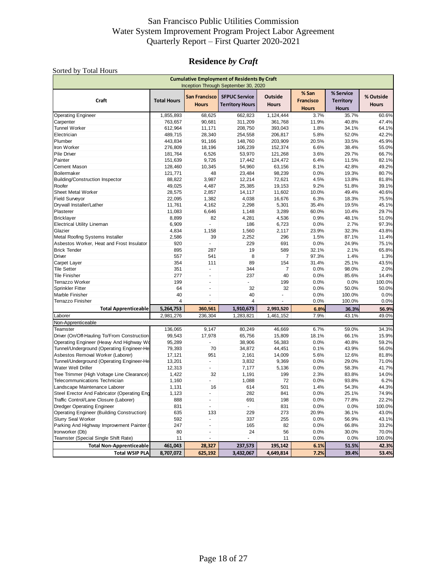## **Residence** *by Craft*

<span id="page-17-0"></span>

|                                                   |                    |                               | <b>Cumulative Employment of Residents By Craft</b><br>Inception Through September 30, 2020 |                         |                                           |                                               |                           |
|---------------------------------------------------|--------------------|-------------------------------|--------------------------------------------------------------------------------------------|-------------------------|-------------------------------------------|-----------------------------------------------|---------------------------|
| Craft                                             | <b>Total Hours</b> | San Francisco<br><b>Hours</b> | <b>SFPUC Service</b><br><b>Territory Hours</b>                                             | Outside<br><b>Hours</b> | % San<br><b>Francisco</b><br><b>Hours</b> | % Service<br><b>Territory</b><br><b>Hours</b> | % Outside<br><b>Hours</b> |
| <b>Operating Engineer</b>                         | 1,855,893          | 68,625                        | 662,823                                                                                    | 1,124,444               | 3.7%                                      | 35.7%                                         | 60.6%                     |
| Carpenter                                         | 763,657            | 90,681                        | 311,209                                                                                    | 361,768                 | 11.9%                                     | 40.8%                                         | 47.4%                     |
| <b>Tunnel Worker</b>                              | 612,964            | 11,171                        | 208,750                                                                                    | 393,043                 | 1.8%                                      | 34.1%                                         | 64.1%                     |
| Electrician                                       | 489,715            | 28,340                        | 254,558                                                                                    | 206,817                 | 5.8%                                      | 52.0%                                         | 42.2%                     |
| Plumber                                           | 443,834            | 91,166                        | 148,760                                                                                    | 203,909                 | 20.5%                                     | 33.5%                                         | 45.9%                     |
| Iron Worker                                       | 276,809            | 18,196                        | 106,239                                                                                    | 152,374                 | 6.6%                                      | 38.4%                                         | 55.0%                     |
| <b>Pile Driver</b>                                | 181.764            | 6,526                         | 53,970                                                                                     | 121,268                 | 3.6%                                      | 29.7%                                         | 66.7%                     |
| Painter                                           | 151,639            | 9,726                         | 17,442                                                                                     | 124,472                 | 6.4%                                      | 11.5%                                         | 82.1%                     |
| <b>Cement Mason</b>                               | 128,460            | 10,345                        | 54,960                                                                                     | 63,156                  | 8.1%                                      | 42.8%                                         | 49.2%                     |
| Boilermaker                                       | 121,771            | 48                            | 23,484                                                                                     | 98,239                  | 0.0%                                      | 19.3%                                         | 80.7%                     |
| <b>Building/Construction Inspector</b>            | 88,822             | 3,987                         | 12,214                                                                                     | 72,621                  | 4.5%                                      | 13.8%                                         | 81.8%                     |
| Roofer                                            | 49,025             | 4,487                         | 25,385                                                                                     | 19,153                  | 9.2%                                      | 51.8%                                         | 39.1%                     |
| Sheet Metal Worker                                |                    |                               |                                                                                            |                         | 10.0%                                     | 49.4%                                         |                           |
|                                                   | 28,575             | 2,857                         | 14,117                                                                                     | 11,602                  |                                           |                                               | 40.6%                     |
| <b>Field Surveyor</b>                             | 22,095             | 1,382                         | 4,038                                                                                      | 16,676                  | 6.3%                                      | 18.3%                                         | 75.5%                     |
| Drywall Installer/Lather                          | 11,761             | 4,162                         | 2,298                                                                                      | 5,301                   | 35.4%                                     | 19.5%                                         | 45.1%                     |
| Plasterer                                         | 11,083             | 6,646                         | 1,148                                                                                      | 3,289                   | 60.0%                                     | 10.4%                                         | 29.7%                     |
| <b>Bricklayer</b>                                 | 8,899              | 82                            | 4,281                                                                                      | 4,536                   | 0.9%                                      | 48.1%                                         | 51.0%                     |
| <b>Electrical Utility Lineman</b>                 | 6,909              |                               | 186                                                                                        | 6,723                   | 0.0%                                      | 2.7%                                          | 97.3%                     |
| Glazier                                           | 4,834              | 1,158                         | 1,560                                                                                      | 2,117                   | 23.9%                                     | 32.3%                                         | 43.8%                     |
| Metal Roofing Systems Installer                   | 2,586              | 39                            | 2,252                                                                                      | 296                     | 1.5%                                      | 87.1%                                         | 11.4%                     |
| Asbestos Worker, Heat and Frost Insulator         | 920                | ٠                             | 229                                                                                        | 691                     | 0.0%                                      | 24.9%                                         | 75.1%                     |
| <b>Brick Tender</b>                               | 895                | 287                           | 19                                                                                         | 589                     | 32.1%                                     | 2.1%                                          | 65.8%                     |
| Driver                                            | 557                | 541                           | 8                                                                                          | 7                       | 97.3%                                     | 1.4%                                          | 1.3%                      |
| Carpet Layer                                      | 354                | 111                           | 89                                                                                         | 154                     | 31.4%                                     | 25.1%                                         | 43.5%                     |
| <b>Tile Setter</b>                                | 351                | $\frac{1}{2}$                 | 344                                                                                        | 7                       | 0.0%                                      | 98.0%                                         | 2.0%                      |
| <b>Tile Finisher</b>                              | 277                | ÷,                            | 237                                                                                        | 40                      | 0.0%                                      | 85.6%                                         | 14.4%                     |
| Terrazzo Worker                                   | 199                | ٠                             | ×.                                                                                         | 199                     | 0.0%                                      | 0.0%                                          | 100.0%                    |
| <b>Sprinkler Fitter</b>                           | 64                 | ÷,                            | 32                                                                                         | 32                      | 0.0%                                      | 50.0%                                         | 50.0%                     |
| Marble Finisher                                   | 40                 | ٠                             | 40                                                                                         |                         | 0.0%                                      | 100.0%                                        | 0.0%                      |
| Terrazzo Finisher                                 | 4                  |                               | 4                                                                                          |                         | 0.0%                                      | 100.0%                                        | 0.0%                      |
|                                                   |                    |                               |                                                                                            |                         |                                           |                                               |                           |
| <b>Total Apprenticeable</b>                       | 5,264,753          | 360,561                       | 1,910,673                                                                                  | 2,993,520               | 6.8%                                      | 36.3%                                         | 56.9%                     |
| Laborer                                           | 2,981,276          | 236,304                       | 1,283,821                                                                                  | 1,461,152               | 7.9%                                      | 43.1%                                         | 49.0%                     |
| Non-Apprenticeable                                |                    |                               |                                                                                            |                         |                                           |                                               |                           |
| Teamster                                          | 136,065            | 9,147                         | 80,249                                                                                     | 46,669                  | 6.7%                                      | 59.0%                                         | 34.3%                     |
| Driver (On/Off-Hauling To/From Construction       | 99,543             | 17,978                        | 65,756                                                                                     | 15,809                  | 18.1%                                     | 66.1%                                         | 15.9%                     |
| Operating Engineer (Heavy And Highway Wo          | 95,289             |                               | 38,906                                                                                     | 56,383                  | 0.0%                                      | 40.8%                                         | 59.2%                     |
| Tunnel/Underground (Operating Engineer-He         | 79,393             | 70                            | 34,872                                                                                     | 44,451                  | 0.1%                                      | 43.9%                                         | 56.0%                     |
| Asbestos Removal Worker (Laborer)                 | 17,121             | 951                           | 2,161                                                                                      | 14,009                  | 5.6%                                      | 12.6%                                         | 81.8%                     |
| Tunnel/Underground (Operating Engineer-He         | 13,201             | ÷,                            | 3,832                                                                                      | 9,369                   | 0.0%                                      | 29.0%                                         | 71.0%                     |
| Water Well Driller                                | 12,313             | ÷,                            | 7,177                                                                                      | 5,136                   | 0.0%                                      | 58.3%                                         | 41.7%                     |
| Tree Trimmer (High Voltage Line Clearance)        | 1,422              | 32                            | 1,191                                                                                      | 199                     | 2.3%                                      | 83.8%                                         | 14.0%                     |
| <b>Telecommunications Technician</b>              | 1,160              |                               | 1,088                                                                                      | 72                      | 0.0%                                      | 93.8%                                         | 6.2%                      |
| Landscape Maintenance Laborer                     | 1,131              | 16                            | 614                                                                                        | 501                     | 1.4%                                      | 54.3%                                         | 44.3%                     |
| Steel Erector And Fabricator (Operating Eng       | 1,123              |                               | 282                                                                                        | 841                     | 0.0%                                      | 25.1%                                         | 74.9%                     |
| Traffic Control/Lane Closure (Laborer)            | 888                | ÷,                            | 691                                                                                        | 198                     | 0.0%                                      | 77.8%                                         | 22.2%                     |
| <b>Dredger Operating Engineer</b>                 | 831                |                               | $\blacksquare$                                                                             | 831                     | 0.0%                                      | 0.0%                                          | 100.0%                    |
| <b>Operating Engineer (Building Construction)</b> | 635                | 133                           | 229                                                                                        | 273                     | 20.9%                                     | 36.1%                                         | 43.0%                     |
| <b>Slurry Seal Worker</b>                         | 592                |                               | 337                                                                                        | 255                     | 0.0%                                      | 56.9%                                         | 43.1%                     |
| Parking And Highway Improvement Painter (         | 247                | $\qquad \qquad \blacksquare$  | 165                                                                                        | 82                      | 0.0%                                      | 66.8%                                         | 33.2%                     |
| Ironworker (Db)                                   | 80                 |                               | 24                                                                                         | 56                      | 0.0%                                      | 30.0%                                         | 70.0%                     |
| Teamster (Special Single Shift Rate)              | 11                 | ٠                             |                                                                                            | 11                      | 0.0%                                      | 0.0%                                          | 100.0%                    |
|                                                   |                    |                               |                                                                                            |                         |                                           |                                               |                           |
| <b>Total Non-Apprenticeable</b>                   | 461,043            | 28,327                        | 237,573                                                                                    | 195,142                 | 6.1%                                      | 51.5%                                         | 42.3%                     |
| <b>Total WSIP PLA</b>                             | 8,707,072          | 625,192                       | 3,432,067                                                                                  | 4,649,814               | 7.2%                                      | 39.4%                                         | 53.4%                     |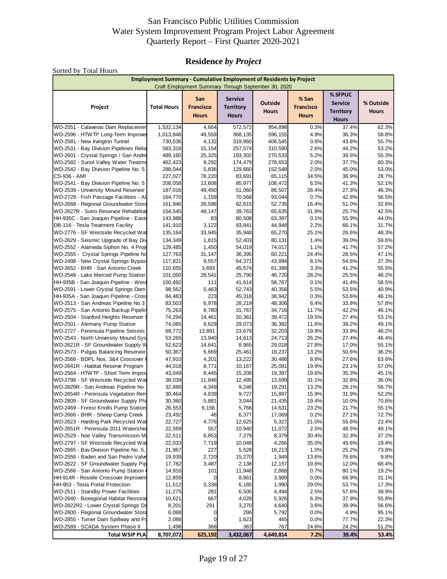## **Residence** *by Project*

| Sorted by Total Hours                                                          |                                                                           |                                         |                                                    |                                                     |                                           |                                                               |                           |
|--------------------------------------------------------------------------------|---------------------------------------------------------------------------|-----------------------------------------|----------------------------------------------------|-----------------------------------------------------|-------------------------------------------|---------------------------------------------------------------|---------------------------|
|                                                                                | <b>Employment Summary - Cumulative Employment of Residents by Project</b> |                                         |                                                    | Craft Employment Summary Through September 30, 2020 |                                           |                                                               |                           |
| Project                                                                        | <b>Total Hours</b>                                                        | San<br><b>Francisco</b><br><b>Hours</b> | <b>Service</b><br><b>Territory</b><br><b>Hours</b> | Outside<br><b>Hours</b>                             | % San<br><b>Francisco</b><br><b>Hours</b> | % SFPUC<br><b>Service</b><br><b>Territory</b><br><b>Hours</b> | % Outside<br><b>Hours</b> |
| WD-2551 - Calaveras Dam Replacemer                                             | 1,532,134                                                                 | 4,664                                   | 572,572                                            | 954,898                                             | 0.3%                                      | 37.4%                                                         | 62.3%                     |
| WD-2596 - HTWTP Long-Term Improver                                             | 1,013,848                                                                 | 49,559                                  | 368,135                                            | 596,155                                             | 4.9%                                      | 36.3%                                                         | 58.8%                     |
| WD-2581 - New Irvington Tunnel                                                 | 730,536                                                                   | 4,132                                   | 319,860                                            | 406,545                                             | 0.6%                                      | 43.8%                                                         | 55.7%                     |
| WD-2531 - Bay Division Pipelines Relia                                         | 583,318                                                                   | 15,154                                  | 257,574                                            | 310,590                                             | 2.6%                                      | 44.2%                                                         | 53.2%                     |
| WD-2601 - Crystal Springs / San Andre                                          | 489,160                                                                   | 25,325                                  | 193,302                                            | 270,533                                             | 5.2%                                      | 39.5%                                                         | 55.3%                     |
| WD-2582 - Sunol Valley Water Treatme<br>WD-2542 - Bay Division Pipeline No. 5  | 462,423<br>288,044                                                        | 9,292<br>5,836                          | 174,479<br>129,660                                 | 278,653<br>152,548                                  | 2.0%<br>2.0%                              | 37.7%<br>45.0%                                                | 60.3%<br>53.0%            |
| CS-936 - AMI                                                                   | 227,027                                                                   | 78,220                                  | 83,691                                             | 65,115                                              | 34.5%                                     | 36.9%                                                         | 28.7%                     |
| WD-2541 - Bay Division Pipeline No. 5                                          | 208,058                                                                   | 13,608                                  | 85,977                                             | 108,472                                             | 6.5%                                      | 41.3%                                                         | 52.1%                     |
| WD-2539 - University Mound Reservoir                                           | 187,016                                                                   | 49,450                                  | 51,060                                             | 86,507                                              | 26.4%                                     | 27.3%                                                         | 46.3%                     |
| WD-2729 - Fish Passage Facilities - Al                                         | 164,770                                                                   | 1,159                                   | 70,568                                             | 93,044                                              | 0.7%                                      | 42.8%                                                         | 56.5%                     |
| WD-2668 - Regional Groundwater Stora                                           | 161,946                                                                   | 26,596                                  | 82,615                                             | 52,735                                              | 16.4%                                     | 51.0%                                                         | 32.6%                     |
| WD-2627R - Sutro Reservoir Rehabilitat                                         | 154,545                                                                   | 49,147                                  | 39,763                                             | 65,635                                              | 31.8%                                     | 25.7%                                                         | 42.5%                     |
| HH-935C - San Joaquin Pipeline - Easte                                         | 143,988                                                                   | 83                                      | 80,508                                             | 63,397                                              | 0.1%                                      | 55.9%                                                         | 44.0%                     |
| DB-116 - Tesla Treatment Facility                                              | 141,910                                                                   | 3,122                                   | 93,841                                             | 44,948                                              | 2.2%                                      | 66.1%                                                         | 31.7%                     |
| WD-2776 - SF Westside Recycled Wat                                             | 135,164                                                                   | 33,945                                  | 35,948                                             | 65,270                                              | 25.1%                                     | 26.6%                                                         | 48.3%                     |
| WD-2629 - Seismic Upgrade of Bay Div                                           | 134,349                                                                   | 1,815                                   | 52,403                                             | 80,131                                              | 1.4%                                      | 39.0%                                                         | 59.6%                     |
| WD-2552 - Alameda Siphon No. 4 Proje                                           | 129,485                                                                   | 1,450                                   | 54,019                                             | 74,017                                              | 1.1%                                      | 41.7%                                                         | 57.2%                     |
| WD-2555 - Crystal Springs Pipeline No                                          | 127,763                                                                   | 31,147                                  | 36,395                                             | 60,221                                              | 24.4%                                     | 28.5%                                                         | 47.1%                     |
| WD-2498 - New Crystal Springs Bypass                                           | 117,821                                                                   | 9,557                                   | 64,371                                             | 43,894                                              | 8.1%                                      | 54.6%                                                         | 37.3%                     |
| WD-2652 - BHR - San Antonio Creek                                              | 110,655                                                                   | 3,693                                   | 45,574                                             | 61,388                                              | 3.3%                                      | 41.2%                                                         | 55.5%                     |
| WD-2548 - Lake Merced Pump Station                                             | 101,050                                                                   | 28,541                                  | 25,790                                             | 46,720                                              | 28.2%                                     | 25.5%                                                         | 46.2%                     |
| HH-935B - San Joaquin Pipeline - West                                          | 100,492                                                                   | 111                                     | 41,614                                             | 58,767                                              | 0.1%                                      | 41.4%                                                         | 58.5%                     |
| WD-2591 - Lower Crystal Springs Dam                                            | 98,562                                                                    | 5,463                                   | 52,743                                             | 40,356                                              | 5.5%                                      | 53.5%                                                         | 40.9%                     |
| HH-935A - San Joaquin Pipeline - Cross                                         | 84,483                                                                    | 223                                     | 45,318                                             | 38,942                                              | 0.3%                                      | 53.6%                                                         | 46.1%                     |
| WD-2513 - San Andreas Pipeline No.3                                            | 83,503                                                                    | 6,978                                   | 28,219                                             | 48,306                                              | 8.4%                                      | 33.8%                                                         | 57.8%                     |
| WD-2575 - San Antonio Backup Pipelin<br>WD-2504 - Stanford Heights Reservoir \ | 75,263<br>74,294                                                          | 8,780<br>14,461                         | 31,767<br>20,361                                   | 34,716<br>39,472                                    | 11.7%<br>19.5%                            | 42.2%<br>27.4%                                                | 46.1%<br>53.1%            |
| WD-2501 - Alemany Pump Station                                                 | 74,085                                                                    | 8,629                                   | 29,073                                             | 36,382                                              | 11.6%                                     | 39.2%                                                         | 49.1%                     |
| WD-2727 - Peninsula Pipeline Seismic                                           | 69,772                                                                    | 13,891                                  | 23,679                                             | 32,203                                              | 19.9%                                     | 33.9%                                                         | 46.2%                     |
| WD-2543 - North University Mound Sys                                           | 53,265                                                                    | 13,940                                  | 14,613                                             | 24,713                                              | 26.2%                                     | 27.4%                                                         | 46.4%                     |
| WD-2621R - SF Groundwater Supply W                                             | 52,623                                                                    | 14,641                                  | 8,965                                              | 29,018                                              | 27.8%                                     | 17.0%                                                         | 55.1%                     |
| WD-2573 - Pulgas Balancing Reservoir                                           | 50,367                                                                    | 6,669                                   | 25,461                                             | 18,237                                              | 13.2%                                     | 50.6%                                                         | 36.2%                     |
| WD-2568 - BDPL Nos. 3&4 Crossover I                                            | 47,910                                                                    | 4,201                                   | 13,222                                             | 30,486                                              | 8.8%                                      | 27.6%                                                         | 63.6%                     |
| WD-2641R - Habitat Reserve Program                                             | 44,018                                                                    | 8,771                                   | 10,167                                             | 25,081                                              | 19.9%                                     | 23.1%                                                         | 57.0%                     |
| WD-2564 - HTWTP - Short Term Improv                                            | 43,049                                                                    | 8,445                                   | 15,208                                             | 19,397                                              | 19.6%                                     | 35.3%                                                         | 45.1%                     |
| WD-2798 - SF Westside Recycled Wat                                             | 38,039                                                                    | 11,846                                  | 12,495                                             | 13,699                                              | 31.1%                                     | 32.8%                                                         | 36.0%                     |
| WD-2829R - San Andreas Pipeline No.                                            | 32,886                                                                    | 4,349                                   | 9,246                                              | 19,291                                              | 13.2%                                     | 28.1%                                                         | 58.7%                     |
| WD-2654R - Peninsula Vegetation Rem                                            | 30,464                                                                    | 4,839                                   | 9,727                                              | 15,897                                              | 15.9%                                     | 31.9%                                                         | 52.2%                     |
| WD-2809 - SF Groundwater Supply Pha                                            | 30,360                                                                    | 5,881                                   | 3,044                                              | 21,435                                              | 19.4%                                     | 10.0%                                                         | 70.6%                     |
| WD-2469 - Forest Knolls Pump Station                                           | 26,553                                                                    | 6,156                                   | 5,766                                              | 14,631                                              | 23.2%                                     | 21.7%                                                         | 55.1%                     |
| WD-2666 - BHR - Sheep Camp Creek                                               | 23,492                                                                    | 46                                      | 6,377                                              | 17,069                                              | 0.2%                                      | 27.1%                                                         | 72.7%                     |
| WD-2623 - Harding Park Recycled Wat<br>WD-2651R - Peninsula 2011 Watershed     | 22,727<br>22,569                                                          | 4,776<br>557                            | 12,625<br>10,940                                   | 5,327<br>11,072                                     | 21.0%<br>2.5%                             | 55.6%<br>48.5%                                                | 23.4%<br>49.1%            |
| WD-2529 - Noe Valley Transmission M                                            | 22,511                                                                    | 6,853                                   | 7,279                                              | 8,379                                               | 30.4%                                     | 32.3%                                                         | 37.2%                     |
| WD-2797 - SF Westside Recycled Wat                                             | 22,033                                                                    | 7,719                                   | 10,048                                             | 4,266                                               | 35.0%                                     | 45.6%                                                         | 19.4%                     |
| WD-2665 - Bav Division Pipeline No. 5,                                         | 21,967                                                                    | 227                                     | 5,528                                              | 16,213                                              | 1.0%                                      | 25.2%                                                         | 73.8%                     |
| WD-2556 - Baden and San Pedro Valve                                            | 19,939                                                                    | 2,720                                   | 15,270                                             | 1,949                                               | 13.6%                                     | 76.6%                                                         | 9.8%                      |
| WD-2622 - SF Groundwater Supply Pip                                            | 17,782                                                                    | 3,487                                   | 2,138                                              | 12,157                                              | 19.6%                                     | 12.0%                                                         | 68.4%                     |
| WD-2566 - San Antonio Pump Station                                             | 14,916                                                                    | 101                                     | 11,948                                             | 2,868                                               | 0.7%                                      | 80.1%                                                         | 19.2%                     |
| HH-914R - Roselle Crossover Improvem                                           | 12,859                                                                    | O                                       | 8,861                                              | 3,999                                               | 0.0%                                      | 68.9%                                                         | 31.1%                     |
| HH-953 - Tesla Portal Protection                                               | 11,512                                                                    | 3,338                                   | 6,185                                              | 1,990                                               | 29.0%                                     | 53.7%                                                         | 17.3%                     |
| WD-2511 - Standby Power Facilities                                             | 11,275                                                                    | 281                                     | 6,500                                              | 4,494                                               | 2.5%                                      | 57.6%                                                         | 39.9%                     |
| WD-2640 - Bioregional Habitat Restorat                                         | 10,621                                                                    | 667                                     | 4,028                                              | 5,926                                               | 6.3%                                      | 37.9%                                                         | 55.8%                     |
| WD-2822R2 - Lower Crystal Springs Da                                           | 8,201                                                                     | 291                                     | 3,270                                              | 4,640                                               | 3.6%                                      | 39.9%                                                         | 56.6%                     |
| WD-2600 - Regional Groundwater Stora                                           | 6,088                                                                     | 0                                       | 296                                                | 5,792                                               | 0.0%                                      | 4.9%                                                          | 95.1%                     |
| WD-2855 - Turner Dam Spillway and Po                                           | 2,088                                                                     | 0                                       | 1,623                                              | 465                                                 | 0.0%                                      | 77.7%                                                         | 22.3%                     |
| WD-2589 - SCADA System Phase II                                                | 1,498                                                                     | 368                                     | 363                                                | 767                                                 | 24.6%                                     | 24.2%                                                         | 51.2%                     |
| <b>Total WSIP PLA</b>                                                          | 8,707,072                                                                 | 625,192                                 | 3,432,067                                          | 4,649,814                                           | 7.2%                                      | 39.4%                                                         | 53.4%                     |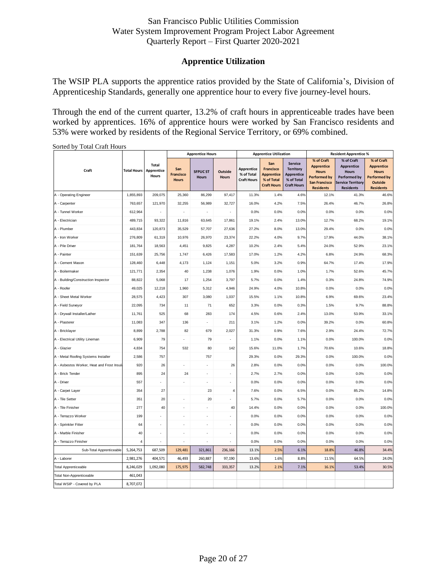## **Apprentice Utilization**

The WSIP PLA supports the apprentice ratios provided by the State of California's, Division of Apprenticeship Standards, generally one apprentice hour to every five journey-level hours.

Through the end of the current quarter, 13.2% of craft hours in apprenticeable trades have been worked by apprentices. 16% of apprentice hours were worked by San Francisco residents and 53% were worked by residents of the Regional Service Territory, or 69% combined.

|                                           |                    |                                     |                                         | <b>Apprentice Hours</b>         |                         |                                                | <b>Apprentice Utilization</b>                                                    |                                                                                             | <b>Resident Apprentice %</b>                                                                                       |                                                                                                                        |                                                                                                              |  |
|-------------------------------------------|--------------------|-------------------------------------|-----------------------------------------|---------------------------------|-------------------------|------------------------------------------------|----------------------------------------------------------------------------------|---------------------------------------------------------------------------------------------|--------------------------------------------------------------------------------------------------------------------|------------------------------------------------------------------------------------------------------------------------|--------------------------------------------------------------------------------------------------------------|--|
| Craft                                     | <b>Total Hours</b> | <b>Total</b><br>Apprentice<br>Hours | San<br><b>Francisco</b><br><b>Hours</b> | <b>SFPUC ST</b><br><b>Hours</b> | Outside<br><b>Hours</b> | Apprentice<br>% of Total<br><b>Craft Hours</b> | San<br><b>Francisco</b><br><b>Apprentice</b><br>% of Total<br><b>Craft Hours</b> | <b>Service</b><br><b>Territory</b><br><b>Apprentice</b><br>% of Total<br><b>Craft Hours</b> | % of Craft<br><b>Apprentice</b><br><b>Hours</b><br><b>Performed by</b><br><b>San Francisco</b><br><b>Residents</b> | % of Craft<br><b>Apprentice</b><br><b>Hours</b><br><b>Performed by</b><br><b>Service Territory</b><br><b>Residents</b> | % of Craft<br><b>Apprentice</b><br><b>Hours</b><br><b>Performed by</b><br><b>Outside</b><br><b>Residents</b> |  |
| A - Operating Engineer                    | 1,855,893          | 209,075                             | 25,360                                  | 86,299                          | 97,417                  | 11.3%                                          | 1.4%                                                                             | 4.6%                                                                                        | 12.1%                                                                                                              | 41.3%                                                                                                                  | 46.6%                                                                                                        |  |
| A - Carpenter                             | 763,657            | 121,970                             | 32,255                                  | 56,989                          | 32,727                  | 16.0%                                          | 4.2%                                                                             | 7.5%                                                                                        | 26.4%                                                                                                              | 46.7%                                                                                                                  | 26.8%                                                                                                        |  |
| A - Tunnel Worker                         | 612,964            |                                     | $\overline{a}$                          |                                 | $\overline{a}$          | 0.0%                                           | 0.0%                                                                             | 0.0%                                                                                        | 0.0%                                                                                                               | 0.0%                                                                                                                   | 0.0%                                                                                                         |  |
| A - Electrician                           | 489,715            | 93,322                              | 11,816                                  | 63,645                          | 17,861                  | 19.1%                                          | 2.4%                                                                             | 13.0%                                                                                       | 12.7%                                                                                                              | 68.2%                                                                                                                  | 19.1%                                                                                                        |  |
| A - Plumber                               | 443,834            | 120,873                             | 35,529                                  | 57,707                          | 27,636                  | 27.2%                                          | 8.0%                                                                             | 13.0%                                                                                       | 29.4%                                                                                                              | 0.0%                                                                                                                   | 0.0%                                                                                                         |  |
| A - Iron Worker                           | 276,809            | 61,319                              | 10,976                                  | 26,970                          | 23,374                  | 22.2%                                          | 4.0%                                                                             | 9.7%                                                                                        | 17.9%                                                                                                              | 44.0%                                                                                                                  | 38.1%                                                                                                        |  |
| A - Pile Driver                           | 181,764            | 18,563                              | 4,451                                   | 9,825                           | 4,287                   | 10.2%                                          | 2.4%                                                                             | 5.4%                                                                                        | 24.0%                                                                                                              | 52.9%                                                                                                                  | 23.1%                                                                                                        |  |
| A - Painter                               | 151,639            | 25,756                              | 1,747                                   | 6,426                           | 17,583                  | 17.0%                                          | 1.2%                                                                             | 4.2%                                                                                        | 6.8%                                                                                                               | 24.9%                                                                                                                  | 68.3%                                                                                                        |  |
| A - Cement Mason                          | 128,460            | 6,448                               | 4,173                                   | 1,124                           | 1,151                   | 5.0%                                           | 3.2%                                                                             | 0.9%                                                                                        | 64.7%                                                                                                              | 17.4%                                                                                                                  | 17.9%                                                                                                        |  |
| A - Boilermaker                           | 121,771            | 2,354                               | 40                                      | 1,238                           | 1,076                   | 1.9%                                           | 0.0%                                                                             | 1.0%                                                                                        | 1.7%                                                                                                               | 52.6%                                                                                                                  | 45.7%                                                                                                        |  |
| A - Building/Construction Inspector       | 88,822             | 5,068                               | 17                                      | 1,254                           | 3,797                   | 5.7%                                           | 0.0%                                                                             | 1.4%                                                                                        | 0.3%                                                                                                               | 24.8%                                                                                                                  | 74.9%                                                                                                        |  |
| A - Roofer                                | 49,025             | 12,218                              | 1,960                                   | 5,312                           | 4,946                   | 24.9%                                          | 4.0%                                                                             | 10.8%                                                                                       | 0.0%                                                                                                               | 0.0%                                                                                                                   | 0.0%                                                                                                         |  |
| A - Sheet Metal Worker                    | 28,575             | 4,423                               | 307                                     | 3,080                           | 1,037                   | 15.5%                                          | 1.1%                                                                             | 10.8%                                                                                       | 6.9%                                                                                                               | 69.6%                                                                                                                  | 23.4%                                                                                                        |  |
| A - Field Surveyor                        | 22,095             | 734                                 | 11                                      | 71                              | 652                     | 3.3%                                           | 0.0%                                                                             | 0.3%                                                                                        | 1.5%                                                                                                               | 9.7%                                                                                                                   | 88.8%                                                                                                        |  |
| A - Drywall Installer/Lather              | 11,761             | 525                                 | 68                                      | 283                             | 174                     | 4.5%                                           | 0.6%                                                                             | 2.4%                                                                                        | 13.0%                                                                                                              | 53.9%                                                                                                                  | 33.1%                                                                                                        |  |
| A - Plasterer                             | 11,083             | 347                                 | 136                                     | $\sim$                          | 211                     | 3.1%                                           | 1.2%                                                                             | 0.0%                                                                                        | 39.2%                                                                                                              | 0.0%                                                                                                                   | 60.8%                                                                                                        |  |
| A - Bricklayer                            | 8,899              | 2,788                               | 82                                      | 679                             | 2,027                   | 31.3%                                          | 0.9%                                                                             | 7.6%                                                                                        | 2.9%                                                                                                               | 24.4%                                                                                                                  | 72.7%                                                                                                        |  |
| A - Electrical Utility Lineman            | 6,909              | 79                                  |                                         | 79                              |                         | 1.1%                                           | 0.0%                                                                             | 1.1%                                                                                        | 0.0%                                                                                                               | 100.0%                                                                                                                 | 0.0%                                                                                                         |  |
| A - Glazier                               | 4,834              | 754                                 | 532                                     | 80                              | 142                     | 15.6%                                          | 11.0%                                                                            | 1.7%                                                                                        | 70.6%                                                                                                              | 10.6%                                                                                                                  | 18.8%                                                                                                        |  |
| A - Metal Roofing Systems Installer       | 2,586              | 757                                 |                                         | 757                             |                         | 29.3%                                          | 0.0%                                                                             | 29.3%                                                                                       | 0.0%                                                                                                               | 100.0%                                                                                                                 | 0.0%                                                                                                         |  |
| A - Asbestos Worker, Heat and Frost Insul | 920                | 26                                  |                                         |                                 | 26                      | 2.8%                                           | 0.0%                                                                             | 0.0%                                                                                        | 0.0%                                                                                                               | 0.0%                                                                                                                   | 100.0%                                                                                                       |  |
| A - Brick Tender                          | 895                | 24                                  | 24                                      |                                 |                         | 2.7%                                           | 2.7%                                                                             | 0.0%                                                                                        | 0.0%                                                                                                               | 0.0%                                                                                                                   | 0.0%                                                                                                         |  |
| A - Driver                                | 557                |                                     |                                         |                                 | $\overline{a}$          | 0.0%                                           | 0.0%                                                                             | 0.0%                                                                                        | 0.0%                                                                                                               | 0.0%                                                                                                                   | 0.0%                                                                                                         |  |
| A - Carpet Layer                          | 354                | 27                                  |                                         | 23                              | 4                       | 7.6%                                           | 0.0%                                                                             | 6.5%                                                                                        | 0.0%                                                                                                               | 85.2%                                                                                                                  | 14.8%                                                                                                        |  |
| A - Tile Setter                           | 351                | 20                                  |                                         | $20\,$                          |                         | 5.7%                                           | 0.0%                                                                             | 5.7%                                                                                        | 0.0%                                                                                                               | 0.0%                                                                                                                   | 0.0%                                                                                                         |  |
| A - Tile Finisher                         | 277                | 40                                  |                                         |                                 | 40                      | 14.4%                                          | 0.0%                                                                             | 0.0%                                                                                        | 0.0%                                                                                                               | 0.0%                                                                                                                   | 100.0%                                                                                                       |  |
| A - Terrazzo Worker                       | 199                |                                     |                                         |                                 |                         | 0.0%                                           | 0.0%                                                                             | 0.0%                                                                                        | 0.0%                                                                                                               | 0.0%                                                                                                                   | 0.0%                                                                                                         |  |
| A - Sprinkler Fitter                      | 64                 |                                     |                                         |                                 |                         | 0.0%                                           | 0.0%                                                                             | 0.0%                                                                                        | 0.0%                                                                                                               | 0.0%                                                                                                                   | 0.0%                                                                                                         |  |
| A - Marble Finisher                       | 40                 |                                     |                                         |                                 |                         | 0.0%                                           | 0.0%                                                                             | 0.0%                                                                                        | 0.0%                                                                                                               | 0.0%                                                                                                                   | 0.0%                                                                                                         |  |
| A - Terrazzo Finisher                     | $\overline{4}$     | ÷                                   |                                         |                                 |                         | 0.0%                                           | 0.0%                                                                             | 0.0%                                                                                        | 0.0%                                                                                                               | 0.0%                                                                                                                   | 0.0%                                                                                                         |  |
| Sub-Total Apprenticeable                  | 5,264,753          | 687,509                             | 129,481                                 | 321,861                         | 236,166                 | 13.1%                                          | 2.5%                                                                             | 6.1%                                                                                        | 18.8%                                                                                                              | 46.8%                                                                                                                  | 34.4%                                                                                                        |  |
| A - Laborer                               | 2,981,276          | 404,571                             | 46,493                                  | 260,887                         | 97,190                  | 13.6%                                          | 1.6%                                                                             | 8.8%                                                                                        | 11.5%                                                                                                              | 64.5%                                                                                                                  | 24.0%                                                                                                        |  |
| <b>Total Apprenticeable</b>               | 8,246,029          | 1,092,080                           | 175,975                                 | 582,748                         | 333,357                 | 13.2%                                          | 2.1%                                                                             | 7.1%                                                                                        | 16.1%                                                                                                              | 53.4%                                                                                                                  | 30.5%                                                                                                        |  |
| Total Non-Apprenticeable                  | 461,043            |                                     |                                         |                                 |                         |                                                |                                                                                  |                                                                                             |                                                                                                                    |                                                                                                                        |                                                                                                              |  |
| Total WSIP - Covered by PLA               | 8,707,072          |                                     |                                         |                                 |                         |                                                |                                                                                  |                                                                                             |                                                                                                                    |                                                                                                                        |                                                                                                              |  |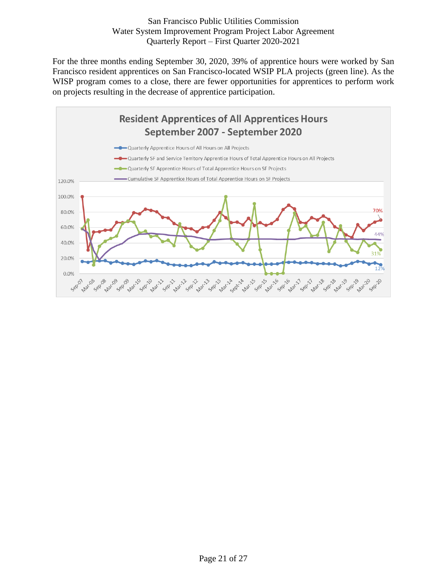For the three months ending September 30, 2020, 39% of apprentice hours were worked by San Francisco resident apprentices on San Francisco-located WSIP PLA projects (green line). As the WISP program comes to a close, there are fewer opportunities for apprentices to perform work on projects resulting in the decrease of apprentice participation.

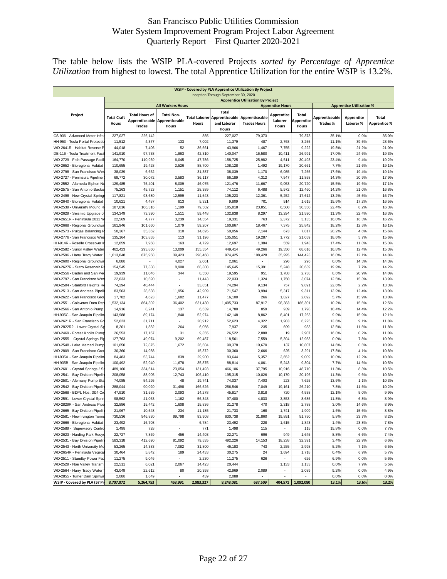The table below lists the WSIP PLA-covered Projects *sorted by Percentage of Apprentice Utilization* from highest to lowest. The total Apprentice Utilization for the entire WSIP is 13.2%.

|                                        |                                          |                                                   |                                              |           | Inception Through September 30, 2020                                        |                                       |                                |                              |                                  |                                 |                              |
|----------------------------------------|------------------------------------------|---------------------------------------------------|----------------------------------------------|-----------|-----------------------------------------------------------------------------|---------------------------------------|--------------------------------|------------------------------|----------------------------------|---------------------------------|------------------------------|
|                                        | <b>Apprentice Utilization By Project</b> |                                                   |                                              |           |                                                                             |                                       |                                |                              |                                  |                                 |                              |
|                                        |                                          |                                                   | <b>All Workers Hours</b>                     |           |                                                                             |                                       | <b>Apprentice Hours</b>        |                              |                                  | <b>Apprentice Utilization %</b> |                              |
| Project                                | <b>Total Craft</b><br><b>Hours</b>       | <b>Total Hours of</b><br>Apprenticeable<br>Trades | <b>Total Non-</b><br>Apprenticeable<br>Hours | Hours     | <b>Total</b><br><b>Total Laborer Apprenticeable</b><br>and Laborer<br>Hours | Apprenticeable<br><b>Trades Hours</b> | Apprentice<br>Laborer<br>Hours | Total<br>Apprentice<br>Hours | Apprenticeable<br><b>Trades%</b> | Apprentice<br>Laborer %         | Total<br><b>Apprentice %</b> |
| CS-936 - Advanced Meter Infra          | 227,027                                  | 226,142                                           | $\overline{\phantom{a}}$                     | 885       | 227,027                                                                     | 79,373                                | $\overline{\phantom{a}}$       | 79,373                       | 35.1%                            | 0.0%                            | 35.0%                        |
| HH-953 - Tesla Portal Protectio        | 11,512                                   | 4,377                                             | 133                                          | 7,002     | 11,379                                                                      | 487                                   | 2,768                          | 3,255                        | 11.1%                            | 39.5%                           | 28.6%                        |
| WD-2641R - Habitat Reserve P           | 44,018                                   | 7,406                                             | 52                                           | 36,561    | 43,966                                                                      | 1,467                                 | 7,755                          | 9,222                        | 19.8%                            | 21.2%                           | 21.0%                        |
| DB-116 - Tesla Treatment Faci          | 141,910                                  | 97,738                                            | 1,863                                        | 42,310    | 140,047                                                                     | 16,580                                | 10,411                         | 26,991                       | 17.0%                            | 24.6%                           | 19.3%                        |
| WD-2729 - Fish Passage Faci            | 164,770                                  | 110,939                                           | 6,045                                        | 47,786    | 158,725                                                                     | 25,982                                | 4,511                          | 30,493                       | 23.4%                            | 9.4%                            | 19.2%                        |
| WD-2652 - Bioregional Habitat          | 110,655                                  | 19,428                                            | 2,526                                        | 88,700    | 108,128                                                                     | 1,492                                 | 19,170                         | 20,661                       | 7.7%                             | 21.6%                           | 19.1%                        |
| WD-2798 - San Francisco Wes            | 38,039                                   | 6,652                                             | $\overline{\phantom{a}}$                     | 31,387    | 38,039                                                                      | 1,170                                 | 6,085                          | 7,255                        | 17.6%                            | 19.4%                           | 19.1%                        |
| WD-2727 - Peninsula Pipeline           | 69,772                                   | 30,072                                            | 3,583                                        | 36,117    | 66,189                                                                      | 4,312                                 | 7,547                          | 11,858                       | 14.3%                            | 20.9%                           | 17.9%                        |
| WD-2552 - Alameda Siphon No            | 129,485                                  | 75,401                                            | 8,009                                        | 46,075    | 121,476                                                                     | 11,667                                | 9,053                          | 20,720                       | 15.5%                            | 19.6%                           | 17.1%                        |
| WD-2575 - San Antonio Backu            | 75,263                                   | 45,723                                            | 1,151                                        | 28,389    | 74,112                                                                      | 6,488                                 | 5,972                          | 12,460                       | 14.2%                            | 21.0%                           | 16.8%                        |
| WD-2498 - New Crystal Springs          | 117,821                                  | 93,680                                            | 12,599                                       | 11,543    | 105,223                                                                     | 12,361                                | 5,252                          | 17,612                       | 13.2%                            | 45.5%                           | 16.7%                        |
| WD-2640 - Bioregional Habitat          | 10,621                                   | 4,487                                             | 813                                          | 5,321     | 9,809                                                                       | 701                                   | 914                            | 1,615                        | 15.6%                            | 17.2%                           | 16.5%                        |
| WD-2539 - University Mound R           | 187,016                                  | 106,316                                           | 1,199                                        | 79,502    | 185,818                                                                     | 23,851                                | 6,500                          | 30,350                       | 22.4%                            | 8.2%                            | 16.3%                        |
| WD-2629 - Seismic Upgrade o            | 134,349                                  | 73,390                                            | 1,511                                        | 59,448    | 132,838                                                                     | 8,297                                 | 13,294                         | 21,590                       | 11.3%                            | 22.4%                           | 16.3%                        |
| WD-2651R - Peninsula 2011 V            | 22,569                                   | 4,777                                             | 3,239                                        | 14,554    | 19,331                                                                      | 763                                   | 2,372                          | 3,135                        | 16.0%                            | 16.3%                           | 16.2%                        |
| WD-2668 - Regional Groundwa            | 161,946                                  | 101,660                                           | 1,079                                        | 59,207    | 160,867                                                                     | 18,467                                | 7,375                          | 25,842                       | 18.2%                            | 12.5%                           | 16.1%                        |
| WD-2573 - Pulgas Balancing R           | 50,367                                   | 35,362                                            | 310                                          | 14,695    | 50,056                                                                      | 7,144                                 | 673                            | 7,817                        | 20.2%                            | 4.6%                            | 15.6%                        |
| WD-2776 - San Francisco Wes            | 135, 164                                 | 103,855                                           | 113                                          | 31,196    | 135,051                                                                     | 19,287                                | 1,772                          | 21,059                       | 18.6%                            | 5.7%                            | 15.6%                        |
| HH-914R - Roselle Crossover I          | 12,859                                   | 7,968                                             | 163                                          | 4,729     | 12,697                                                                      | 1,384                                 | 559                            | 1,943                        | 17.4%                            | 11.8%                           | 15.3%                        |
| WD-2582 - Sunol Valley Water           | 462,423                                  | 293,860                                           | 13,009                                       | 155,554   | 449,414                                                                     | 49,266                                | 19,350                         | 68,616                       | 16.8%                            | 12.4%                           | 15.3%                        |
| WD-2596 - Harry Tracy Water            | 1,013,848                                | 675,958                                           | 39,423                                       | 298,468   | 974,425                                                                     | 108,428                               | 35,995                         | 144,423                      | 16.0%                            | 12.1%                           | 14.8%                        |
| WD-2600 - Regional Groundwa            | 6,088                                    | $\overline{\phantom{a}}$                          | 4,027                                        | 2,061     | 2,061                                                                       | $\overline{\phantom{a}}$              | 296                            | 296                          | 0.0%                             | 14.3%                           | 14.3%                        |
| WD-2627R - Sutro Reservoir R           | 154,545                                  | 77,338                                            | 8,900                                        | 68,308    | 145,645                                                                     | 15,391                                | 5,248                          | 20,639                       | 19.9%                            | 7.7%                            | 14.2%                        |
| WD-2556 - Baden and San Per            | 19,939                                   | 11,046                                            | 344                                          | 8,550     | 19,595                                                                      | 951                                   | 1,788                          | 2,738                        | 8.6%                             | 20.9%                           | 14.0%                        |
| WD-2797 - San Francisco Wes            | 22,033                                   | 10,590                                            |                                              | 11,443    | 22,033                                                                      | 1,324                                 | 1,750                          | 3,074                        | 12.5%                            | 15.3%                           | 13.9%                        |
| WD-2504 - Stanford Heights Re          | 74,294                                   | 40,444                                            | ٠                                            | 33,851    | 74,294                                                                      | 9,134                                 | 757                            | 9,891                        | 22.6%                            | 2.2%                            | 13.3%                        |
| WD-2513 - San Andreas Pipeli           | 83,503                                   | 28,638                                            | 11,956                                       | 42,909    | 71,547                                                                      | 3,994                                 | 5,317                          | 9,311                        | 13.9%                            | 12.4%                           | 13.0%                        |
| WD-2622 - San Francisco Gro            | 17,782                                   | 4,623                                             | 1,682                                        | 11,477    | 16,100                                                                      | 266                                   | 1,827                          | 2,092                        | 5.7%                             | 15.9%                           | 13.0%                        |
| WD-2551 - Calaveras Dam Rep            | 1,532,134                                | 864,302                                           | 36,402                                       | 631,430   | 1,495,733                                                                   | 87,917                                | 98,383                         | 186,301                      | 10.2%                            | 15.6%                           | 12.5%                        |
| WD-2566 - San Antonio Pump             | 14,916                                   | 8,241                                             | 137                                          | 6,539     | 14,780                                                                      | 859                                   | 939                            | 1,798                        | 10.4%                            | 14.4%                           | 12.2%                        |
| HH-935C - San Joaquin Pipelir          | 143,988                                  | 89,174                                            | 1,840                                        | 52,974    | 142,148                                                                     | 8,862                                 | 8,401                          | 17,263                       | 9.9%                             | 15.9%                           | 12.1%                        |
| WD-2621R - San Francisco Gr            | 52,623                                   | 31,711                                            | ٠                                            | 20,912    | 52,623                                                                      | 4,322                                 | 1,903                          | 6,225                        | 13.6%                            | 9.1%                            | 11.8%                        |
| WD-2822R2 - Lower Crystal Sp           | 8,201                                    | 1,882                                             | 264                                          | 6,056     | 7,937                                                                       | 235                                   | 699                            | 933                          | 12.5%                            | 11.5%                           | 11.8%                        |
| WD-2469 - Forest Knolls Pump           | 26,553                                   | 17,167                                            | 31                                           | 9,355     | 26,522                                                                      | 2,888                                 | 19                             | 2,907                        | 16.8%                            | 0.2%                            | 11.0%                        |
| WD-2555 - Crystal Springs Pi           | 127,763                                  | 49,074                                            | 9,202                                        | 69,487    | 118,561                                                                     | 7,559                                 | 5,394                          | 12,953                       | 0.0%                             | 7.8%                            | 10.9%                        |
| WD-2548 - Lake Merced Pump             | 101,050                                  | 72,875                                            | 1,672                                        | 26,504    | 99,378                                                                      | 10,670                                | 137                            | 10,807                       | 14.6%                            | 0.5%                            | 10.9%                        |
| WD-2809 - San Francisco Gro            | 30,360                                   | 14,988                                            | ٠                                            | 15,372    | 30,360                                                                      | 2,666                                 | 625                            | 3,291                        | 17.8%                            | 4.1%                            | 10.8%                        |
| HH-935A - San Joaquin Pipelin          | 84,483                                   | 53,744                                            | 839                                          | 29,900    | 83,644                                                                      | 5,357                                 | 3,652                          | 9,009                        | 10.0%                            | 12.2%                           | 10.8%                        |
| HH-935B - San Joaquin Pipelin          | 100,492                                  | 52,940                                            | 11,678                                       | 35,875    | 88,814                                                                      | 4,061                                 | 5,243                          | 9,304                        | 7.7%                             | 14.6%                           | 10.5%                        |
| WD-2601 - Crystal Springs / S          | 489,160                                  | 334,614                                           | 23,054                                       | 131,493   | 466,106                                                                     | 37,795                                | 10,916                         | 48,710                       | 11.3%                            | 8.3%                            | 10.5%                        |
| WD-2541 - Bay Division Pipelir         | 208,058                                  | 88,905                                            | 12,743                                       | 106,410   | 195,315                                                                     | 10,026                                | 10,170                         | 20,196                       | 11.3%                            | 9.6%                            | 10.3%                        |
| WD-2501 - Alemany Pump Sta             | 74,085                                   | 54,295                                            | 48                                           | 19,741    | 74,037                                                                      | 7,403                                 | 223                            | 7,625                        | 13.6%                            | 1.1%                            | 10.3%                        |
| WD-2542 - Bay Division Pipelir         | 288,044                                  | 90,020                                            | 31,498                                       | 166,526   | 256,546                                                                     | 7,049                                 | 19,161                         | 26,210                       | 7.8%                             | 11.5%                           | 10.2%                        |
| WD-2568 - BDPL Nos. 3&4 Cr             | 47,910                                   | 31,539                                            | 2,093                                        | 14,278    | 45,817                                                                      | 3,818                                 | 720                            | 4,538                        | 12.1%                            | 5.0%                            | 9.9%                         |
| WD-2591 - Lower Crystal Sprin          | 98,562                                   | 41,053                                            | 1,162                                        | 56,348    | 97,400                                                                      | 4,833                                 | 3,853                          | 8,685                        | 11.8%                            | 6.8%                            | 8.9%                         |
| WD-2829R - San Andreas Pipe            | 32,886                                   | 15,442                                            | 1,608                                        | 15,836    | 31,278                                                                      | 470                                   | 2,318                          | 2,788                        | 3.0%                             | 14.6%                           | 8.9%                         |
| WD-2665 - Bay Division Pipelir         | 21,967                                   | 10,548                                            | 234                                          | 11,185    | 21,733                                                                      | 168                                   | 1.741                          | 1,909                        | 1.6%                             | 15.6%                           | 8.8%                         |
| WD-2581 - New Irvington Tunne          | 730,536                                  | 546,830                                           | 99,798                                       | 83,908    | 630,738                                                                     | 31,860                                | 19,891                         | 51,750                       | 5.8%                             | 23.7%                           | 8.2%                         |
| WD-2666 - Bioregional Habitat          | 23,492                                   | 16,708                                            | $\overline{\phantom{a}}$                     | 6,784     | 23,492                                                                      | 228                                   | 1,615                          | 1,843                        | 1.4%                             | 23.8%                           | 7.8%                         |
| WD-2589 - Supervisory Contro           | 1,498                                    | 728                                               |                                              | 771       | 1,498                                                                       | 115                                   | ÷.                             | 115                          | 15.8%                            | 0.0%                            | 7.7%                         |
| WD-2623 - Harding Park Recyo           | 22,727                                   | 7,869                                             | 456                                          | 14,403    | 22,271                                                                      | 696                                   | 949                            | 1,645                        | 8.8%                             | 6.6%                            | 7.4%                         |
| WD-2531 - Bay Division Pipelin         | 583,318                                  | 412,690                                           | 91,092                                       | 79,535    | 492,226                                                                     | 14,153                                | 18,238                         | 32,391                       | 3.4%                             | 22.9%                           | 6.6%                         |
| WD-2543 - North University Mo          | 53,265                                   | 14,383                                            | 7,082                                        | 31,800    | 46,183                                                                      | 743                                   | 2,255                          | 2,998                        | 5.2%                             | 7.1%                            | 6.5%                         |
| WD-2654R - Peninsula Vegeta            | 30,464                                   | 5,842                                             | 189                                          | 24,433    | 30,275                                                                      | 24                                    | 1,694                          | 1,718                        | 0.4%                             | 6.9%                            | 5.7%                         |
| WD-2511 - Standby Power Fac            | 11,275                                   | 9,046                                             | $\sim$                                       | 2,230     | 11,275                                                                      | 626                                   | $\overline{\phantom{a}}$       | 626                          | 6.9%                             | 0.0%                            | 5.6%                         |
| WD-2529 - Noe Valley Transmi           | 22,511                                   | 6,021                                             | 2,067                                        | 14,423    | 20,444                                                                      |                                       | 1,133                          | 1,133                        | 0.0%                             | 7.9%                            | 5.5%                         |
| WD-2564 - Harry Tracy Water            | 43,049                                   | 22,612                                            | 80                                           | 20,358    | 42,969                                                                      | 2,089                                 | ٠                              | 2,089                        | 9.2%                             | 0.0%                            | 4.9%                         |
| WD-2855 - Turner Dam Spillwa           | 2,088                                    | 1,649                                             | ÷                                            | 439       | 2,088                                                                       |                                       | $\overline{\phantom{a}}$       |                              | 0.0%                             | 0.0%                            | 0.0%                         |
| WSIP - Covered by PLA (57 Pr 8,707,072 |                                          | 5,264,753                                         | 458,991                                      | 2,983,327 | 8,248,081                                                                   | 687,509                               |                                | 404,571 1,092,080            | 13.1%                            | 13.6%                           | 13.2%                        |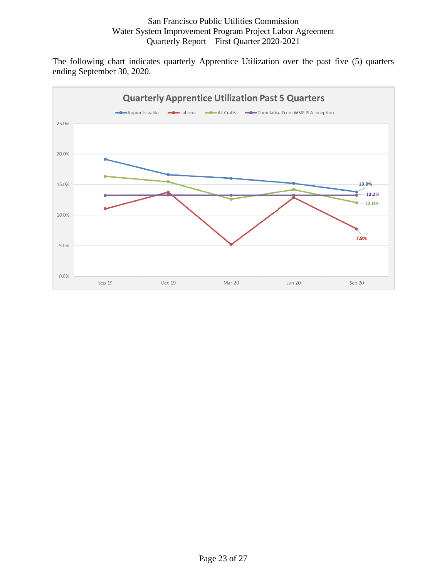The following chart indicates quarterly Apprentice Utilization over the past five (5) quarters ending September 30, 2020.

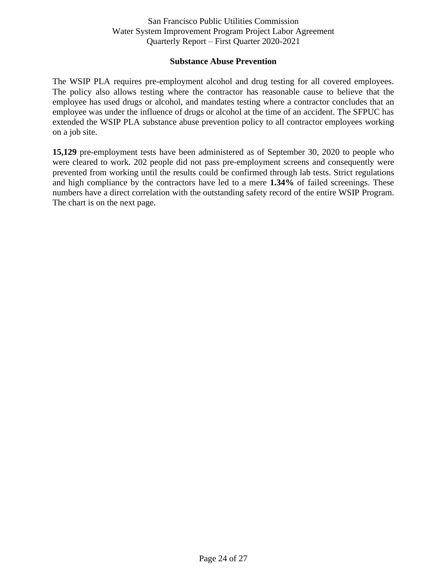#### **Substance Abuse Prevention**

<span id="page-23-0"></span>The WSIP PLA requires pre-employment alcohol and drug testing for all covered employees. The policy also allows testing where the contractor has reasonable cause to believe that the employee has used drugs or alcohol, and mandates testing where a contractor concludes that an employee was under the influence of drugs or alcohol at the time of an accident. The SFPUC has extended the WSIP PLA substance abuse prevention policy to all contractor employees working on a job site.

**15,129** pre-employment tests have been administered as of September 30, 2020 to people who were cleared to work. 202 people did not pass pre-employment screens and consequently were prevented from working until the results could be confirmed through lab tests. Strict regulations and high compliance by the contractors have led to a mere **1.34%** of failed screenings. These numbers have a direct correlation with the outstanding safety record of the entire WSIP Program. The chart is on the next page.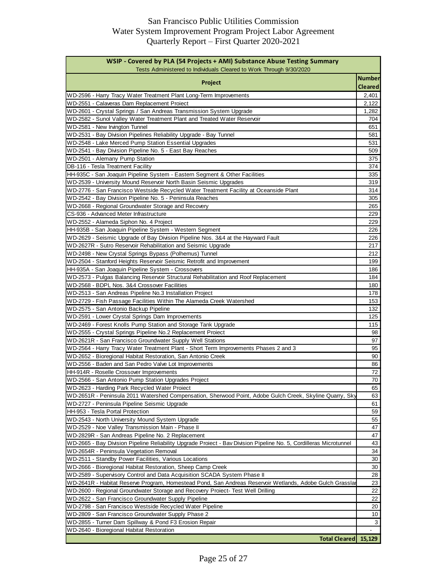| WSIP - Covered by PLA (54 Projects + AMI) Substance Abuse Testing Summary<br>Tests Administered to Individuals Cleared to Work Through 9/30/2020 |                                 |
|--------------------------------------------------------------------------------------------------------------------------------------------------|---------------------------------|
| Project                                                                                                                                          | <b>Number</b><br><b>Cleared</b> |
| WD-2596 - Harry Tracy Water Treatment Plant Long-Term Improvements                                                                               | 2,401                           |
| WD-2551 - Calaveras Dam Replacement Project                                                                                                      | 2,122                           |
| WD-2601 - Crystal Springs / San Andreas Transmission System Upgrade                                                                              | 1,282                           |
| WD-2582 - Sunol Valley Water Treatment Plant and Treated Water Reservoir                                                                         | 704                             |
| WD-2581 - New Irvington Tunnel                                                                                                                   | 651                             |
| WD-2531 - Bay Division Pipelines Reliability Upgrade - Bay Tunnel                                                                                | 581                             |
| WD-2548 - Lake Merced Pump Station Essential Upgrades                                                                                            | 531                             |
| WD-2541 - Bay Division Pipeline No. 5 - East Bay Reaches                                                                                         | 509                             |
| WD-2501 - Alemany Pump Station                                                                                                                   | 375                             |
| DB-116 - Tesla Treatment Facility                                                                                                                | 374                             |
| HH-935C - San Joaquin Pipeline System - Eastern Segment & Other Facilities                                                                       | 335                             |
| WD-2539 - University Mound Reservoir North Basin Seismic Upgrades                                                                                | 319                             |
| WD-2776 - San Francisco Westside Recycled Water Treatment Facility at Oceanside Plant                                                            | 314                             |
| WD-2542 - Bay Division Pipeline No. 5 - Peninsula Reaches                                                                                        | 305                             |
| WD-2668 - Regional Groundwater Storage and Recovery                                                                                              | 265                             |
| CS-936 - Advanced Meter Infrastructure                                                                                                           | 229                             |
| WD-2552 - Alameda Siphon No. 4 Project                                                                                                           | 229                             |
| HH-935B - San Joaquin Pipeline System - Western Segment                                                                                          | 226                             |
| WD-2629 - Seismic Upgrade of Bay Division Pipeline Nos. 3&4 at the Hayward Fault                                                                 | 226                             |
| WD-2627R - Sutro Reservoir Rehabilitation and Seismic Upgrade                                                                                    | 217                             |
| WD-2498 - New Crystal Springs Bypass (Polhemus) Tunnel                                                                                           | 212                             |
| WD-2504 - Stanford Heights Reservoir Seismic Retrofit and Improvement                                                                            | 199                             |
| HH-935A - San Joaquin Pipeline System - Crossovers                                                                                               | 186                             |
| WD-2573 - Pulgas Balancing Reservoir Structural Rehabilitation and Roof Replacement                                                              | 184                             |
| WD-2568 - BDPL Nos. 3&4 Crossover Facilities                                                                                                     | 180                             |
| WD-2513 - San Andreas Pipeline No.3 Installation Project                                                                                         | 178                             |
| WD-2729 - Fish Passage Facilities Within The Alameda Creek Watershed                                                                             | 153                             |
| WD-2575 - San Antonio Backup Pipeline                                                                                                            | 132                             |
| WD-2591 - Lower Crystal Springs Dam Improvements                                                                                                 | 125                             |
| WD-2469 - Forest Knolls Pump Station and Storage Tank Upgrade                                                                                    | 115                             |
| WD-2555 - Crystal Springs Pipeline No.2 Replacement Proiect                                                                                      | 98                              |
| WD-2621R - San Francisco Groundwater Supply Well Stations                                                                                        | 97                              |
| WD-2564 - Harry Tracy Water Treatment Plant - Short Term Improvements Phases 2 and 3                                                             | 95                              |
| WD-2652 - Bioregional Habitat Restoration, San Antonio Creek                                                                                     | 90                              |
| WD-2556 - Baden and San Pedro Valve Lot Improvements                                                                                             | 86                              |
| HH-914R - Roselle Crossover Improvements                                                                                                         | 72                              |
| WD-2566 - San Antonio Pump Station Upgrades Project                                                                                              | 70                              |
| WD-2623 - Harding Park Recycled Water Proiect                                                                                                    | 65                              |
| WD-2651R - Peninsula 2011 Watershed Compensation, Sherwood Point, Adobe Gulch Creek, Skyline Quarry, Sky                                         | 63                              |
| WD-2727 - Peninsula Pipeline Seismic Upgrade                                                                                                     | 61                              |
| HH-953 - Tesla Portal Protection                                                                                                                 | 59                              |
| WD-2543 - North University Mound System Upgrade                                                                                                  | 55                              |
| WD-2529 - Noe Valley Transmission Main - Phase II                                                                                                | 47                              |
| WD-2829R - San Andreas Pipeline No. 2 Replacement                                                                                                | 47                              |
| WD-2665 - Bay Division Pipeline Reliability Upgrade Proiect - Bav Division Pipeline No. 5, Cordilleras Microtunnel                               | 43                              |
|                                                                                                                                                  | 34                              |
| WD-2654R - Peninsula Vegetation Removal                                                                                                          | 30                              |
| WD-2511 - Standby Power Facilities, Various Locations                                                                                            |                                 |
| WD-2666 - Bioregional Habitat Restoration, Sheep Camp Creek                                                                                      | 30                              |
| WD-2589 - Supervisory Control and Data Acquisition SCADA System Phase II                                                                         | 28                              |
| WD-2641R - Habitat Reserve Program, Homestead Pond, San Andreas Reservoir Wetlands, Adobe Gulch Grasslar                                         | 23                              |
| WD-2600 - Regional Groundwater Storage and Recovery Proiect- Test Well Drilling                                                                  | 22                              |
| WD-2622 - San Francisco Groundwater Supply Pipeline                                                                                              | 22                              |
| WD-2798 - San Francisco Westside Recycled Water Pipeline                                                                                         | 20                              |
| WD-2809 - San Francisco Groundwater Supply Phase 2                                                                                               | 10                              |
| WD-2855 - Turner Dam Spillway & Pond F3 Erosion Repair                                                                                           | 3                               |
| WD-2640 - Bioregional Habitat Restoration                                                                                                        |                                 |
| Total Cleared 15,129                                                                                                                             |                                 |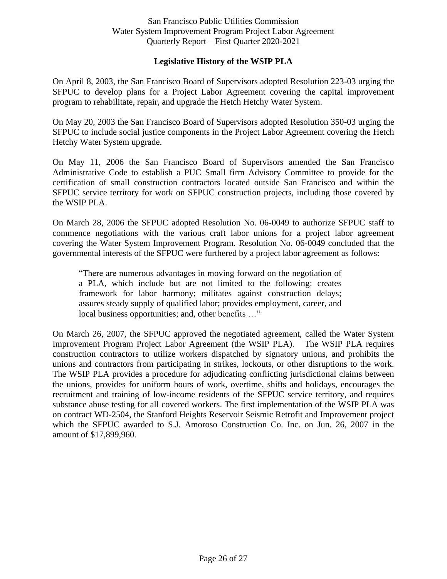## **Legislative History of the WSIP PLA**

<span id="page-25-0"></span>On April 8, 2003, the San Francisco Board of Supervisors adopted Resolution 223-03 urging the SFPUC to develop plans for a Project Labor Agreement covering the capital improvement program to rehabilitate, repair, and upgrade the Hetch Hetchy Water System.

On May 20, 2003 the San Francisco Board of Supervisors adopted Resolution 350-03 urging the SFPUC to include social justice components in the Project Labor Agreement covering the Hetch Hetchy Water System upgrade.

On May 11, 2006 the San Francisco Board of Supervisors amended the San Francisco Administrative Code to establish a PUC Small firm Advisory Committee to provide for the certification of small construction contractors located outside San Francisco and within the SFPUC service territory for work on SFPUC construction projects, including those covered by the WSIP PLA.

On March 28, 2006 the SFPUC adopted Resolution No. 06-0049 to authorize SFPUC staff to commence negotiations with the various craft labor unions for a project labor agreement covering the Water System Improvement Program. Resolution No. 06-0049 concluded that the governmental interests of the SFPUC were furthered by a project labor agreement as follows:

"There are numerous advantages in moving forward on the negotiation of a PLA, which include but are not limited to the following: creates framework for labor harmony; militates against construction delays; assures steady supply of qualified labor; provides employment, career, and local business opportunities; and, other benefits ..."

<span id="page-25-1"></span>On March 26, 2007, the SFPUC approved the negotiated agreement, called the Water System Improvement Program Project Labor Agreement (the WSIP PLA). The WSIP PLA requires construction contractors to utilize workers dispatched by signatory unions, and prohibits the unions and contractors from participating in strikes, lockouts, or other disruptions to the work. The WSIP PLA provides a procedure for adjudicating conflicting jurisdictional claims between the unions, provides for uniform hours of work, overtime, shifts and holidays, encourages the recruitment and training of low-income residents of the SFPUC service territory, and requires substance abuse testing for all covered workers. The first implementation of the WSIP PLA was on contract WD-2504, the Stanford Heights Reservoir Seismic Retrofit and Improvement project which the SFPUC awarded to S.J. Amoroso Construction Co. Inc. on Jun. 26, 2007 in the amount of \$17,899,960.